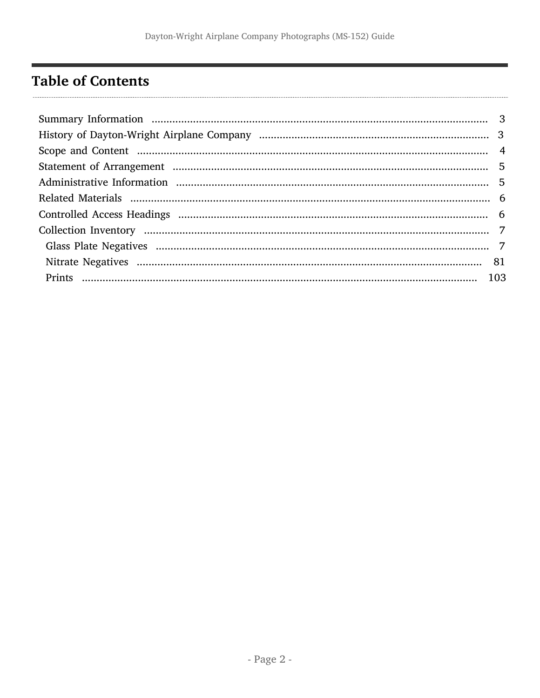# <span id="page-1-0"></span>**Table of Contents**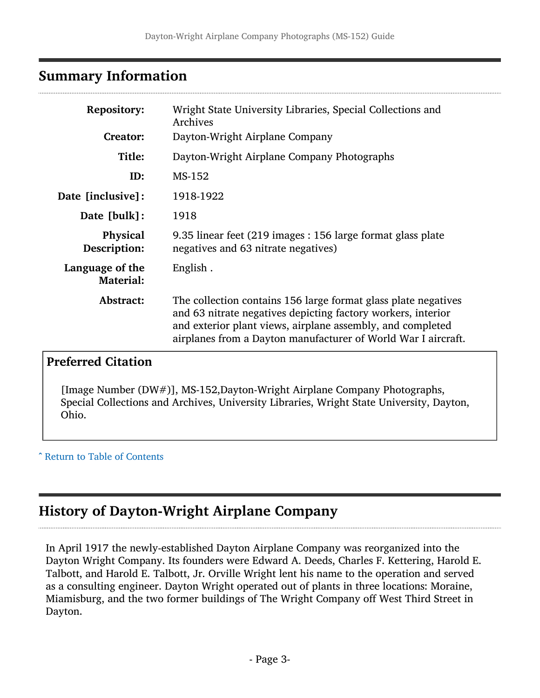#### <span id="page-2-0"></span>Summary Information

| <b>Repository:</b>                  | Wright State University Libraries, Special Collections and<br>Archives                                                                                                                                                                                        |
|-------------------------------------|---------------------------------------------------------------------------------------------------------------------------------------------------------------------------------------------------------------------------------------------------------------|
| <b>Creator:</b>                     | Dayton-Wright Airplane Company                                                                                                                                                                                                                                |
| Title:                              | Dayton-Wright Airplane Company Photographs                                                                                                                                                                                                                    |
| ID:                                 | MS-152                                                                                                                                                                                                                                                        |
| Date [inclusive]:                   | 1918-1922                                                                                                                                                                                                                                                     |
| Date [bulk]:                        | 1918                                                                                                                                                                                                                                                          |
| Physical<br>Description:            | 9.35 linear feet (219 images : 156 large format glass plate<br>negatives and 63 nitrate negatives)                                                                                                                                                            |
| Language of the<br><b>Material:</b> | English.                                                                                                                                                                                                                                                      |
| Abstract:                           | The collection contains 156 large format glass plate negatives<br>and 63 nitrate negatives depicting factory workers, interior<br>and exterior plant views, airplane assembly, and completed<br>airplanes from a Dayton manufacturer of World War I aircraft. |

#### Preferred Citation

[Image Number (DW#)], MS-152,Dayton-Wright Airplane Company Photographs, Special Collections and Archives, University Libraries, Wright State University, Dayton, Ohio.

^ [Return to Table of Contents](#page-1-0)

## <span id="page-2-1"></span>History of Dayton-Wright Airplane Company

In April 1917 the newly-established Dayton Airplane Company was reorganized into the Dayton Wright Company. Its founders were Edward A. Deeds, Charles F. Kettering, Harold E. Talbott, and Harold E. Talbott, Jr. Orville Wright lent his name to the operation and served as a consulting engineer. Dayton Wright operated out of plants in three locations: Moraine, Miamisburg, and the two former buildings of The Wright Company off West Third Street in Dayton.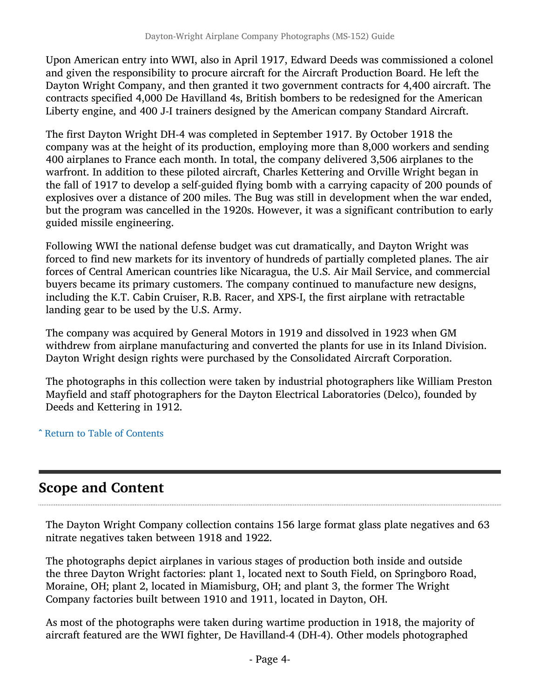Upon American entry into WWI, also in April 1917, Edward Deeds was commissioned a colonel and given the responsibility to procure aircraft for the Aircraft Production Board. He left the Dayton Wright Company, and then granted it two government contracts for 4,400 aircraft. The contracts specified 4,000 De Havilland 4s, British bombers to be redesigned for the American Liberty engine, and 400 J-I trainers designed by the American company Standard Aircraft.

The first Dayton Wright DH-4 was completed in September 1917. By October 1918 the company was at the height of its production, employing more than 8,000 workers and sending 400 airplanes to France each month. In total, the company delivered 3,506 airplanes to the warfront. In addition to these piloted aircraft, Charles Kettering and Orville Wright began in the fall of 1917 to develop a self-guided flying bomb with a carrying capacity of 200 pounds of explosives over a distance of 200 miles. The Bug was still in development when the war ended, but the program was cancelled in the 1920s. However, it was a significant contribution to early guided missile engineering.

Following WWI the national defense budget was cut dramatically, and Dayton Wright was forced to find new markets for its inventory of hundreds of partially completed planes. The air forces of Central American countries like Nicaragua, the U.S. Air Mail Service, and commercial buyers became its primary customers. The company continued to manufacture new designs, including the K.T. Cabin Cruiser, R.B. Racer, and XPS-I, the first airplane with retractable landing gear to be used by the U.S. Army.

The company was acquired by General Motors in 1919 and dissolved in 1923 when GM withdrew from airplane manufacturing and converted the plants for use in its Inland Division. Dayton Wright design rights were purchased by the Consolidated Aircraft Corporation.

The photographs in this collection were taken by industrial photographers like William Preston Mayfield and staff photographers for the Dayton Electrical Laboratories (Delco), founded by Deeds and Kettering in 1912.

^ [Return to Table of Contents](#page-1-0)

## <span id="page-3-0"></span>Scope and Content

The Dayton Wright Company collection contains 156 large format glass plate negatives and 63 nitrate negatives taken between 1918 and 1922.

The photographs depict airplanes in various stages of production both inside and outside the three Dayton Wright factories: plant 1, located next to South Field, on Springboro Road, Moraine, OH; plant 2, located in Miamisburg, OH; and plant 3, the former The Wright Company factories built between 1910 and 1911, located in Dayton, OH.

As most of the photographs were taken during wartime production in 1918, the majority of aircraft featured are the WWI fighter, De Havilland-4 (DH-4). Other models photographed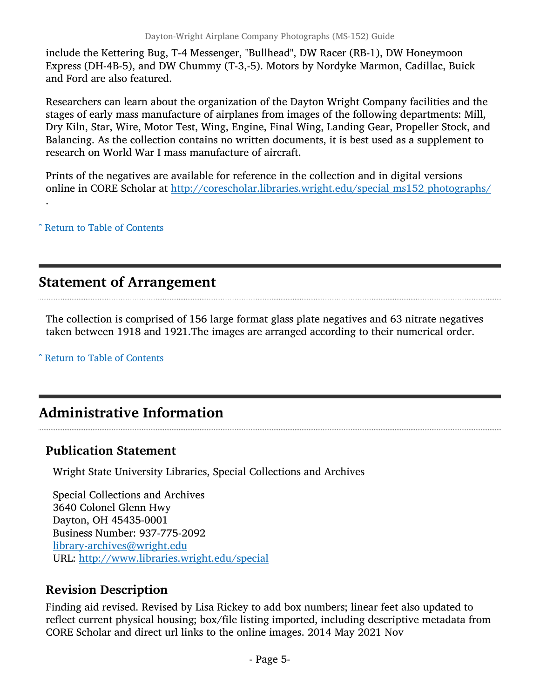include the Kettering Bug, T-4 Messenger, "Bullhead", DW Racer (RB-1), DW Honeymoon Express (DH-4B-5), and DW Chummy (T-3,-5). Motors by Nordyke Marmon, Cadillac, Buick and Ford are also featured.

Researchers can learn about the organization of the Dayton Wright Company facilities and the stages of early mass manufacture of airplanes from images of the following departments: Mill, Dry Kiln, Star, Wire, Motor Test, Wing, Engine, Final Wing, Landing Gear, Propeller Stock, and Balancing. As the collection contains no written documents, it is best used as a supplement to research on World War I mass manufacture of aircraft.

Prints of the negatives are available for reference in the collection and in digital versions online in CORE Scholar at [http://corescholar.libraries.wright.edu/special\\_ms152\\_photographs](http://corescholar.libraries.wright.edu/special_ms152_photographs)[/](http://corescholar.libraries.wright.edu/special_ms152_photographs/)

^ [Return to Table of Contents](#page-1-0)

.

### <span id="page-4-0"></span>Statement of Arrangement

The collection is comprised of 156 large format glass plate negatives and 63 nitrate negatives taken between 1918 and 1921.The images are arranged according to their numerical order.

^ [Return to Table of Contents](#page-1-0)

## <span id="page-4-1"></span>Administrative Information

#### Publication Statement

Wright State University Libraries, Special Collections and Archives

Special Collections and Archives 3640 Colonel Glenn Hwy Dayton, OH 45435-0001 Business Number: 937-775-2092 [library-archives@wright.edu](mailto:library-archives@wright.edu) URL: <http://www.libraries.wright.edu/special>

#### Revision Description

Finding aid revised. Revised by Lisa Rickey to add box numbers; linear feet also updated to reflect current physical housing; box/file listing imported, including descriptive metadata from CORE Scholar and direct url links to the online images. 2014 May 2021 Nov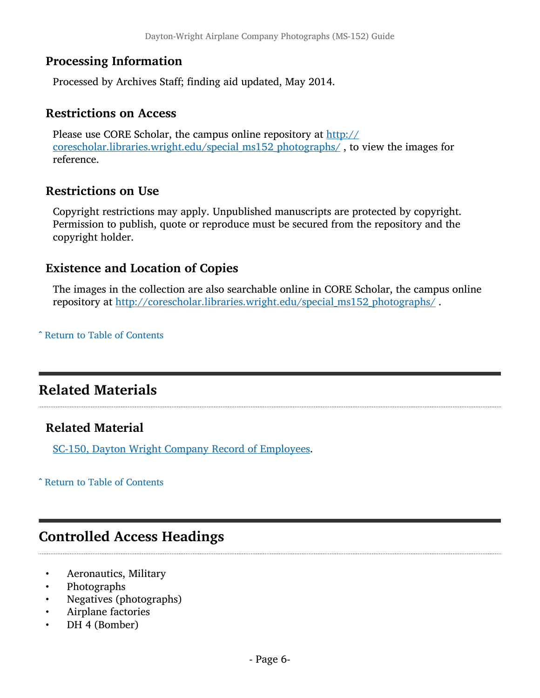#### Processing Information

Processed by Archives Staff; finding aid updated, May 2014.

#### Restrictions on Access

Please use CORE Scholar, the campus online repository at [http://](http://corescholar.libraries.wright.edu/special_ms152_photographs/) [corescholar.libraries.wright.edu/special\\_ms152\\_photographs/](http://corescholar.libraries.wright.edu/special_ms152_photographs/) , to view the images for reference.

#### Restrictions on Use

Copyright restrictions may apply. Unpublished manuscripts are protected by copyright. Permission to publish, quote or reproduce must be secured from the repository and the copyright holder.

#### Existence and Location of Copies

The images in the collection are also searchable online in CORE Scholar, the campus online repository at [http://corescholar.libraries.wright.edu/special\\_ms152\\_photographs/](http://corescholar.libraries.wright.edu/special_ms152_photographs/) .

^ [Return to Table of Contents](#page-1-0)

## <span id="page-5-0"></span>Related Materials

#### Related Material

[SC-150, Dayton Wright Company Record of Employees.](http://www.libraries.wright.edu/special/collection_guides/guide_files/sc150.pdf)

^ [Return to Table of Contents](#page-1-0)

## <span id="page-5-1"></span>Controlled Access Headings

- Aeronautics, Military
- Photographs
- Negatives (photographs)
- Airplane factories
- DH 4 (Bomber)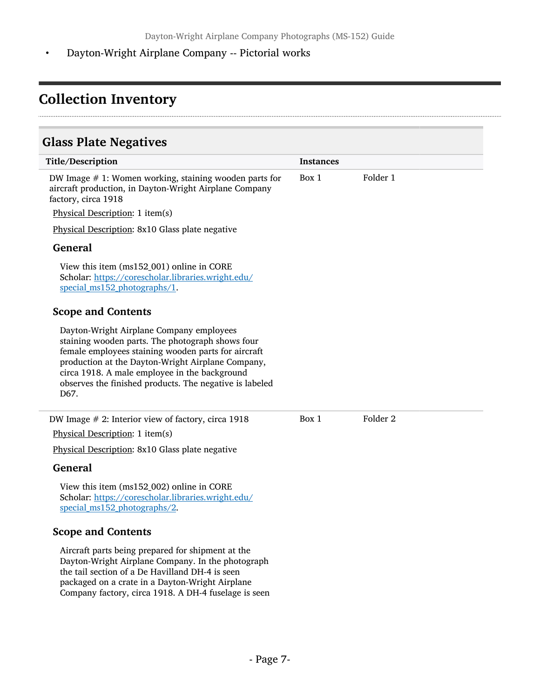• Dayton-Wright Airplane Company -- Pictorial works

## <span id="page-6-0"></span>Collection Inventory

### <span id="page-6-1"></span>Glass Plate Negatives

| Title/Description                                                                                                                                                                                                                                                                                                            | <b>Instances</b> |                     |  |
|------------------------------------------------------------------------------------------------------------------------------------------------------------------------------------------------------------------------------------------------------------------------------------------------------------------------------|------------------|---------------------|--|
| DW Image $# 1$ : Women working, staining wooden parts for<br>aircraft production, in Dayton-Wright Airplane Company<br>factory, circa 1918                                                                                                                                                                                   | Box 1            | Folder 1            |  |
| Physical Description: 1 item(s)                                                                                                                                                                                                                                                                                              |                  |                     |  |
| Physical Description: 8x10 Glass plate negative                                                                                                                                                                                                                                                                              |                  |                     |  |
| <b>General</b>                                                                                                                                                                                                                                                                                                               |                  |                     |  |
| View this item (ms152_001) online in CORE<br>Scholar: https://corescholar.libraries.wright.edu/<br>special_ms152_photographs/1.                                                                                                                                                                                              |                  |                     |  |
| <b>Scope and Contents</b>                                                                                                                                                                                                                                                                                                    |                  |                     |  |
| Dayton-Wright Airplane Company employees<br>staining wooden parts. The photograph shows four<br>female employees staining wooden parts for aircraft<br>production at the Dayton-Wright Airplane Company,<br>circa 1918. A male employee in the background<br>observes the finished products. The negative is labeled<br>D67. |                  |                     |  |
| DW Image $# 2$ : Interior view of factory, circa 1918                                                                                                                                                                                                                                                                        | Box 1            | Folder <sub>2</sub> |  |
| Physical Description: 1 item(s)                                                                                                                                                                                                                                                                                              |                  |                     |  |
| Physical Description: 8x10 Glass plate negative                                                                                                                                                                                                                                                                              |                  |                     |  |
| <b>General</b>                                                                                                                                                                                                                                                                                                               |                  |                     |  |
| View this item (ms152_002) online in CORE<br>Scholar: https://corescholar.libraries.wright.edu/<br>special ms152 photographs/2.                                                                                                                                                                                              |                  |                     |  |
| <b>Scope and Contents</b>                                                                                                                                                                                                                                                                                                    |                  |                     |  |
| Aircraft parts being prepared for shipment at the<br>Dayton Wright Airplane Company In the photograph                                                                                                                                                                                                                        |                  |                     |  |

Dayton-Wright Airplane Company. In the photograph the tail section of a De Havilland DH-4 is seen packaged on a crate in a Dayton-Wright Airplane Company factory, circa 1918. A DH-4 fuselage is seen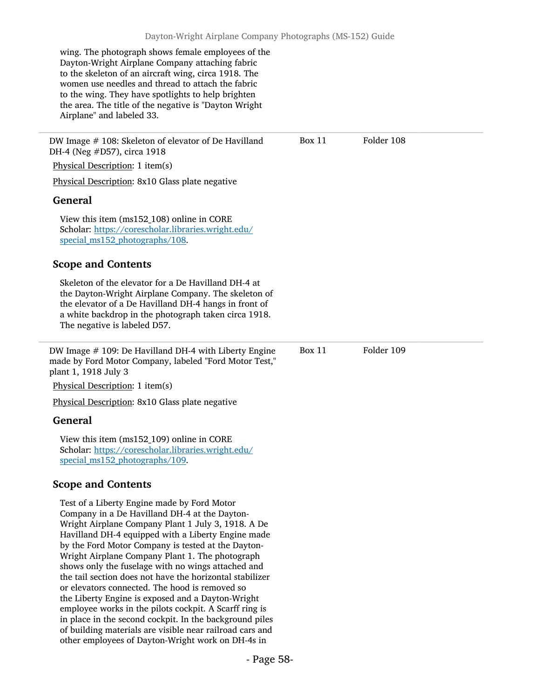wing. The photograph shows female employees of the Dayton-Wright Airplane Company attaching fabric to the skeleton of an aircraft wing, circa 1918. The women use needles and thread to attach the fabric to the wing. They have spotlights to help brighten the area. The title of the negative is "Dayton Wright Airplane" and labeled 33.

or elevators connected. The hood is removed so the Liberty Engine is exposed and a Dayton-Wright employee works in the pilots cockpit. A Scarff ring is in place in the second cockpit. In the background piles of building materials are visible near railroad cars and other employees of Dayton-Wright work on DH-4s in

DW Image #108: Skeleton of elevator of De Havilland Box 11 Folder 108 DH-4 (Neg #D57), circa 1918 Physical Description: 1 item(s) Physical Description: 8x10 Glass plate negative General View this item (ms152\_108) online in CORE Scholar: [https://corescholar.libraries.wright.edu/](https://corescholar.libraries.wright.edu/special_ms152_photographs/108) special ms152 photographs/108. Scope and Contents Skeleton of the elevator for a De Havilland DH-4 at the Dayton-Wright Airplane Company. The skeleton of the elevator of a De Havilland DH-4 hangs in front of a white backdrop in the photograph taken circa 1918. The negative is labeled D57. DW Image # 109: De Havilland DH-4 with Liberty Engine made by Ford Motor Company, labeled "Ford Motor Test," plant 1, 1918 July 3 Physical Description: 1 item(s) Physical Description: 8x10 Glass plate negative General View this item (ms152\_109) online in CORE Scholar: [https://corescholar.libraries.wright.edu/](https://corescholar.libraries.wright.edu/special_ms152_photographs/109) [special\\_ms152\\_photographs/109](https://corescholar.libraries.wright.edu/special_ms152_photographs/109). Scope and Contents Test of a Liberty Engine made by Ford Motor Company in a De Havilland DH-4 at the Dayton-Wright Airplane Company Plant 1 July 3, 1918. A De Havilland DH-4 equipped with a Liberty Engine made by the Ford Motor Company is tested at the Dayton-Wright Airplane Company Plant 1. The photograph shows only the fuselage with no wings attached and the tail section does not have the horizontal stabilizer Box 11 Folder 109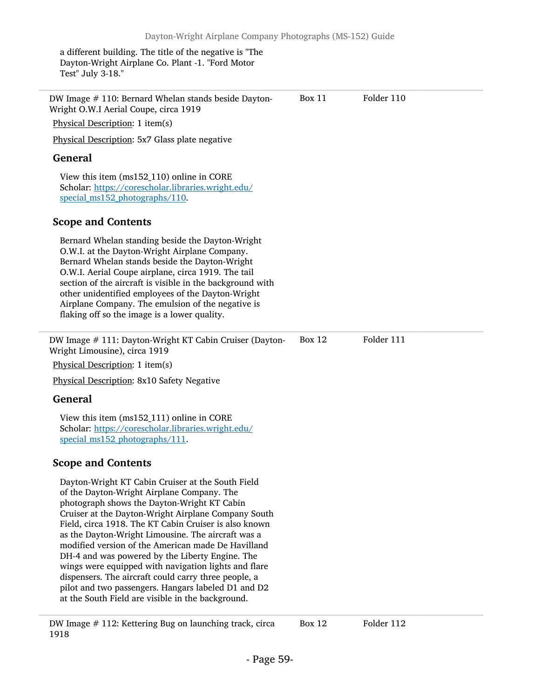a different building. The title of the negative is "The Dayton-Wright Airplane Co. Plant -1. "Ford Motor Test" July 3-18."

| DW Image # 110: Bernard Whelan stands beside Dayton-<br>Wright O.W.I Aerial Coupe, circa 1919                                                                                                                                                                                                                                                                                                                                                                                                                                                                                                                                                             | Box 11        | Folder 110 |  |
|-----------------------------------------------------------------------------------------------------------------------------------------------------------------------------------------------------------------------------------------------------------------------------------------------------------------------------------------------------------------------------------------------------------------------------------------------------------------------------------------------------------------------------------------------------------------------------------------------------------------------------------------------------------|---------------|------------|--|
| Physical Description: 1 item(s)                                                                                                                                                                                                                                                                                                                                                                                                                                                                                                                                                                                                                           |               |            |  |
| Physical Description: 5x7 Glass plate negative                                                                                                                                                                                                                                                                                                                                                                                                                                                                                                                                                                                                            |               |            |  |
| <b>General</b>                                                                                                                                                                                                                                                                                                                                                                                                                                                                                                                                                                                                                                            |               |            |  |
| View this item (ms152_110) online in CORE<br>Scholar: https://corescholar.libraries.wright.edu/<br>special_ms152_photographs/110.                                                                                                                                                                                                                                                                                                                                                                                                                                                                                                                         |               |            |  |
| <b>Scope and Contents</b>                                                                                                                                                                                                                                                                                                                                                                                                                                                                                                                                                                                                                                 |               |            |  |
| Bernard Whelan standing beside the Dayton-Wright<br>O.W.I. at the Dayton-Wright Airplane Company.<br>Bernard Whelan stands beside the Dayton-Wright<br>O.W.I. Aerial Coupe airplane, circa 1919. The tail<br>section of the aircraft is visible in the background with<br>other unidentified employees of the Dayton-Wright<br>Airplane Company. The emulsion of the negative is<br>flaking off so the image is a lower quality.                                                                                                                                                                                                                          |               |            |  |
| DW Image # 111: Dayton-Wright KT Cabin Cruiser (Dayton-<br>Wright Limousine), circa 1919<br>Physical Description: 1 item(s)                                                                                                                                                                                                                                                                                                                                                                                                                                                                                                                               | <b>Box 12</b> | Folder 111 |  |
| Physical Description: 8x10 Safety Negative                                                                                                                                                                                                                                                                                                                                                                                                                                                                                                                                                                                                                |               |            |  |
| <b>General</b>                                                                                                                                                                                                                                                                                                                                                                                                                                                                                                                                                                                                                                            |               |            |  |
| View this item (ms152_111) online in CORE<br>Scholar: https://corescholar.libraries.wright.edu/<br>special_ms152_photographs/111.                                                                                                                                                                                                                                                                                                                                                                                                                                                                                                                         |               |            |  |
| <b>Scope and Contents</b>                                                                                                                                                                                                                                                                                                                                                                                                                                                                                                                                                                                                                                 |               |            |  |
| Dayton-Wright KT Cabin Cruiser at the South Field<br>of the Dayton-Wright Airplane Company. The<br>photograph shows the Dayton-Wright KT Cabin<br>Cruiser at the Dayton-Wright Airplane Company South<br>Field, circa 1918. The KT Cabin Cruiser is also known<br>as the Dayton-Wright Limousine. The aircraft was a<br>modified version of the American made De Havilland<br>DH-4 and was powered by the Liberty Engine. The<br>wings were equipped with navigation lights and flare<br>dispensers. The aircraft could carry three people, a<br>pilot and two passengers. Hangars labeled D1 and D2<br>at the South Field are visible in the background. |               |            |  |
| DW Image # 112: Kettering Bug on launching track, circa                                                                                                                                                                                                                                                                                                                                                                                                                                                                                                                                                                                                   | <b>Box 12</b> | Folder 112 |  |

1918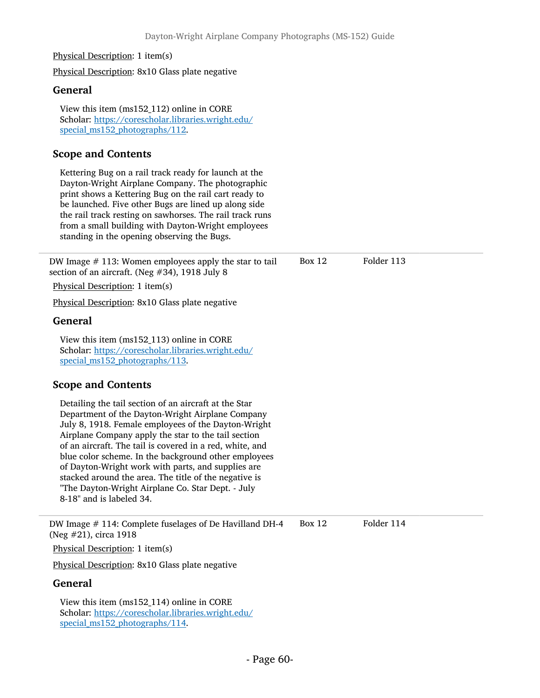#### Physical Description: 1 item(s)

Physical Description: 8x10 Glass plate negative

#### General

View this item (ms152\_112) online in CORE Scholar: [https://corescholar.libraries.wright.edu/](https://corescholar.libraries.wright.edu/special_ms152_photographs/112) special ms152 photographs/112.

## Scope and Contents

Kettering Bug on a rail track ready for launch at the Dayton-Wright Airplane Company. The photographic print shows a Kettering Bug on the rail cart ready to be launched. Five other Bugs are lined up along side the rail track resting on sawhorses. The rail track runs from a small building with Dayton-Wright employees standing in the opening observing the Bugs.

| DW Image $#$ 113: Women employees apply the star to tail<br>section of an aircraft. (Neg #34), 1918 July 8                                                                                                                                                                                                                                                                                                                                                                                                                                  | <b>Box 12</b> | Folder 113 |
|---------------------------------------------------------------------------------------------------------------------------------------------------------------------------------------------------------------------------------------------------------------------------------------------------------------------------------------------------------------------------------------------------------------------------------------------------------------------------------------------------------------------------------------------|---------------|------------|
| Physical Description: 1 item(s)                                                                                                                                                                                                                                                                                                                                                                                                                                                                                                             |               |            |
| Physical Description: 8x10 Glass plate negative                                                                                                                                                                                                                                                                                                                                                                                                                                                                                             |               |            |
| <b>General</b>                                                                                                                                                                                                                                                                                                                                                                                                                                                                                                                              |               |            |
| View this item (ms152_113) online in CORE<br>Scholar: https://corescholar.libraries.wright.edu/<br>special ms152 photographs/113.                                                                                                                                                                                                                                                                                                                                                                                                           |               |            |
| <b>Scope and Contents</b>                                                                                                                                                                                                                                                                                                                                                                                                                                                                                                                   |               |            |
| Detailing the tail section of an aircraft at the Star<br>Department of the Dayton-Wright Airplane Company<br>July 8, 1918. Female employees of the Dayton-Wright<br>Airplane Company apply the star to the tail section<br>of an aircraft. The tail is covered in a red, white, and<br>blue color scheme. In the background other employees<br>of Dayton-Wright work with parts, and supplies are<br>stacked around the area. The title of the negative is<br>"The Dayton-Wright Airplane Co. Star Dept. - July<br>8-18" and is labeled 34. |               |            |
| DW Image # 114: Complete fuselages of De Havilland DH-4<br>(Neg #21), circa 1918                                                                                                                                                                                                                                                                                                                                                                                                                                                            | <b>Box 12</b> | Folder 114 |
| Physical Description: 1 item(s)                                                                                                                                                                                                                                                                                                                                                                                                                                                                                                             |               |            |
| Physical Description: 8x10 Glass plate negative                                                                                                                                                                                                                                                                                                                                                                                                                                                                                             |               |            |
| <b>General</b>                                                                                                                                                                                                                                                                                                                                                                                                                                                                                                                              |               |            |
| View this item (ms152_114) online in CORE<br>Scholar: https://corescholar.libraries.wright.edu/<br>special ms152 photographs/114.                                                                                                                                                                                                                                                                                                                                                                                                           |               |            |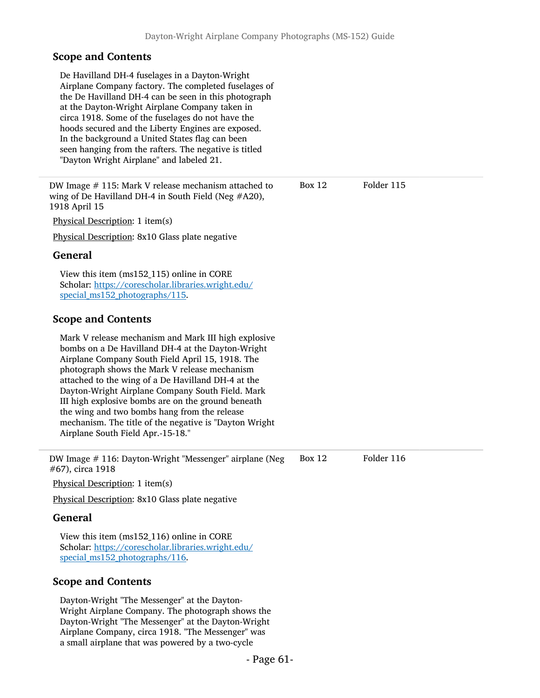# Scope and Contents

| De Havilland DH-4 fuselages in a Dayton-Wright<br>Airplane Company factory. The completed fuselages of<br>the De Havilland DH-4 can be seen in this photograph<br>at the Dayton-Wright Airplane Company taken in<br>circa 1918. Some of the fuselages do not have the<br>hoods secured and the Liberty Engines are exposed.<br>In the background a United States flag can been<br>seen hanging from the rafters. The negative is titled<br>"Dayton Wright Airplane" and labeled 21.                                           |               |            |  |
|-------------------------------------------------------------------------------------------------------------------------------------------------------------------------------------------------------------------------------------------------------------------------------------------------------------------------------------------------------------------------------------------------------------------------------------------------------------------------------------------------------------------------------|---------------|------------|--|
| DW Image # 115: Mark V release mechanism attached to<br>wing of De Havilland DH-4 in South Field (Neg #A20),<br>1918 April 15                                                                                                                                                                                                                                                                                                                                                                                                 | Box $12$      | Folder 115 |  |
| Physical Description: 1 item(s)                                                                                                                                                                                                                                                                                                                                                                                                                                                                                               |               |            |  |
| Physical Description: 8x10 Glass plate negative                                                                                                                                                                                                                                                                                                                                                                                                                                                                               |               |            |  |
| <b>General</b>                                                                                                                                                                                                                                                                                                                                                                                                                                                                                                                |               |            |  |
| View this item (ms152_115) online in CORE<br>Scholar: https://corescholar.libraries.wright.edu/<br>special_ms152_photographs/115.                                                                                                                                                                                                                                                                                                                                                                                             |               |            |  |
| <b>Scope and Contents</b>                                                                                                                                                                                                                                                                                                                                                                                                                                                                                                     |               |            |  |
| Mark V release mechanism and Mark III high explosive<br>bombs on a De Havilland DH-4 at the Dayton-Wright<br>Airplane Company South Field April 15, 1918. The<br>photograph shows the Mark V release mechanism<br>attached to the wing of a De Havilland DH-4 at the<br>Dayton-Wright Airplane Company South Field. Mark<br>III high explosive bombs are on the ground beneath<br>the wing and two bombs hang from the release<br>mechanism. The title of the negative is "Dayton Wright<br>Airplane South Field Apr.-15-18." |               |            |  |
| DW Image # 116: Dayton-Wright "Messenger" airplane (Neg<br>#67), circa 1918                                                                                                                                                                                                                                                                                                                                                                                                                                                   | <b>Box 12</b> | Folder 116 |  |
| Physical Description: 1 item(s)                                                                                                                                                                                                                                                                                                                                                                                                                                                                                               |               |            |  |
| Physical Description: 8x10 Glass plate negative                                                                                                                                                                                                                                                                                                                                                                                                                                                                               |               |            |  |
| <b>General</b>                                                                                                                                                                                                                                                                                                                                                                                                                                                                                                                |               |            |  |
| View this item (ms152_116) online in CORE<br>Scholar: https://corescholar.libraries.wright.edu/<br>special_ms152_photographs/116.                                                                                                                                                                                                                                                                                                                                                                                             |               |            |  |
| <b>Scope and Contents</b>                                                                                                                                                                                                                                                                                                                                                                                                                                                                                                     |               |            |  |
| Dayton-Wright "The Messenger" at the Dayton-<br>Wright Airplane Company. The photograph shows the<br>Dayton-Wright "The Messenger" at the Dayton-Wright<br>Airplane Company, circa 1918. "The Messenger" was<br>a small airplane that was powered by a two-cycle                                                                                                                                                                                                                                                              |               |            |  |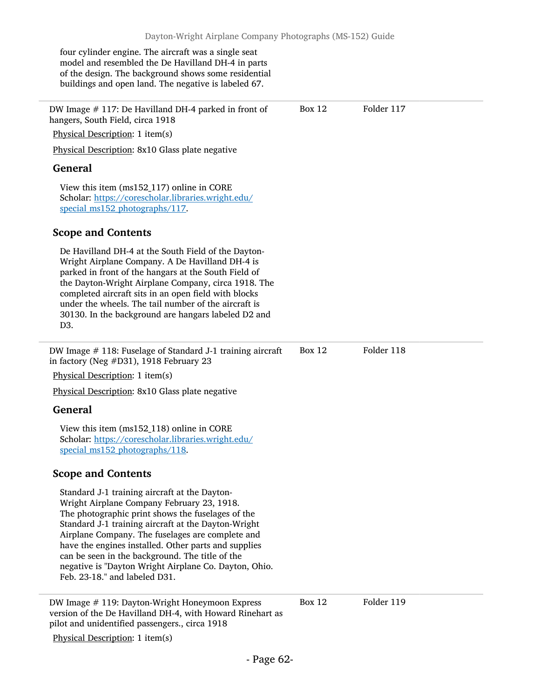four cylinder engine. The aircraft was a single seat model and resembled the De Havilland DH-4 in parts of the design. The background shows some residential buildings and open land. The negative is labeled 67.

DW Image # 117: De Havilland DH-4 parked in front of hangers, South Field, circa 1918 Physical Description: 1 item(s) Physical Description: 8x10 Glass plate negative General View this item (ms152\_117) online in CORE Scholar: [https://corescholar.libraries.wright.edu/](https://corescholar.libraries.wright.edu/special_ms152_photographs/117) [special\\_ms152\\_photographs/117](https://corescholar.libraries.wright.edu/special_ms152_photographs/117). Scope and Contents De Havilland DH-4 at the South Field of the Dayton-Wright Airplane Company. A De Havilland DH-4 is parked in front of the hangars at the South Field of the Dayton-Wright Airplane Company, circa 1918. The completed aircraft sits in an open field with blocks under the wheels. The tail number of the aircraft is 30130. In the background are hangars labeled D2 and D3. Box 12 Folder 117 DW Image # 118: Fuselage of Standard J-1 training aircraft in factory (Neg #D31), 1918 February 23 Physical Description: 1 item(s) Physical Description: 8x10 Glass plate negative General View this item (ms152\_118) online in CORE Scholar: [https://corescholar.libraries.wright.edu/](https://corescholar.libraries.wright.edu/special_ms152_photographs/118) [special\\_ms152\\_photographs/118](https://corescholar.libraries.wright.edu/special_ms152_photographs/118). Scope and Contents Standard J-1 training aircraft at the Dayton-Wright Airplane Company February 23, 1918. The photographic print shows the fuselages of the Standard J-1 training aircraft at the Dayton-Wright Airplane Company. The fuselages are complete and have the engines installed. Other parts and supplies can be seen in the background. The title of the negative is "Dayton Wright Airplane Co. Dayton, Ohio. Feb. 23-18." and labeled D31. Box 12 Folder 118 DW Image # 119: Dayton-Wright Honeymoon Express Box 12 Folder 119

version of the De Havilland DH-4, with Howard Rinehart as pilot and unidentified passengers., circa 1918

Physical Description: 1 item(s)

- Page 62-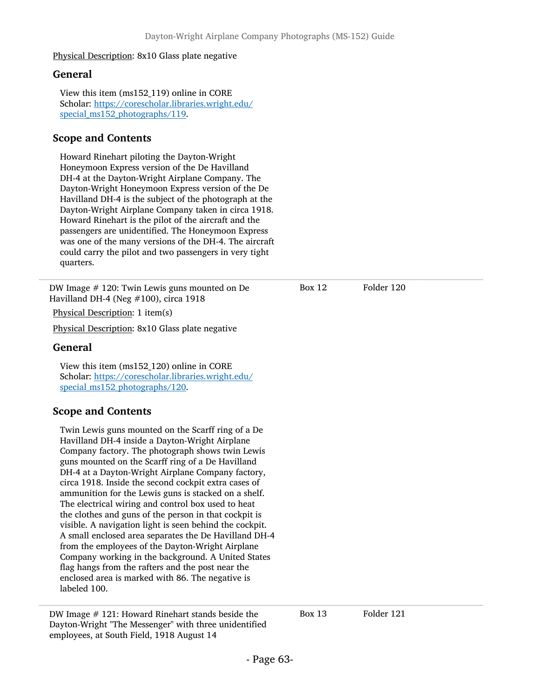Physical Description: 8x10 Glass plate negative

## General

View this item (ms152\_119) online in CORE Scholar: [https://corescholar.libraries.wright.edu/](https://corescholar.libraries.wright.edu/special_ms152_photographs/119) special ms152 photographs/119.

## Scope and Contents

Howard Rinehart piloting the Dayton-Wright Honeymoon Express version of the De Havilland DH-4 at the Dayton-Wright Airplane Company. The Dayton-Wright Honeymoon Express version of the De Havilland DH-4 is the subject of the photograph at the Dayton-Wright Airplane Company taken in circa 1918. Howard Rinehart is the pilot of the aircraft and the passengers are unidentified. The Honeymoon Express was one of the many versions of the DH-4. The aircraft could carry the pilot and two passengers in very tight quarters.

DW Image # 120: Twin Lewis guns mounted on De Havilland DH-4 (Neg #100), circa 1918

Physical Description: 1 item(s)

Physical Description: 8x10 Glass plate negative

### General

View this item (ms152\_120) online in CORE Scholar: [https://corescholar.libraries.wright.edu/](https://corescholar.libraries.wright.edu/special_ms152_photographs/120) special ms152 photographs/120.

## Scope and Contents

Twin Lewis guns mounted on the Scarff ring of a De Havilland DH-4 inside a Dayton-Wright Airplane Company factory. The photograph shows twin Lewis guns mounted on the Scarff ring of a De Havilland DH-4 at a Dayton-Wright Airplane Company factory, circa 1918. Inside the second cockpit extra cases of ammunition for the Lewis guns is stacked on a shelf. The electrical wiring and control box used to heat the clothes and guns of the person in that cockpit is visible. A navigation light is seen behind the cockpit. A small enclosed area separates the De Havilland DH-4 from the employees of the Dayton-Wright Airplane Company working in the background. A United States flag hangs from the rafters and the post near the enclosed area is marked with 86. The negative is labeled 100.

DW Image # 121: Howard Rinehart stands beside the Box 13 Folder 121 Dayton-Wright "The Messenger" with three unidentified employees, at South Field, 1918 August 14

Box 12 Folder 120

- Page 63-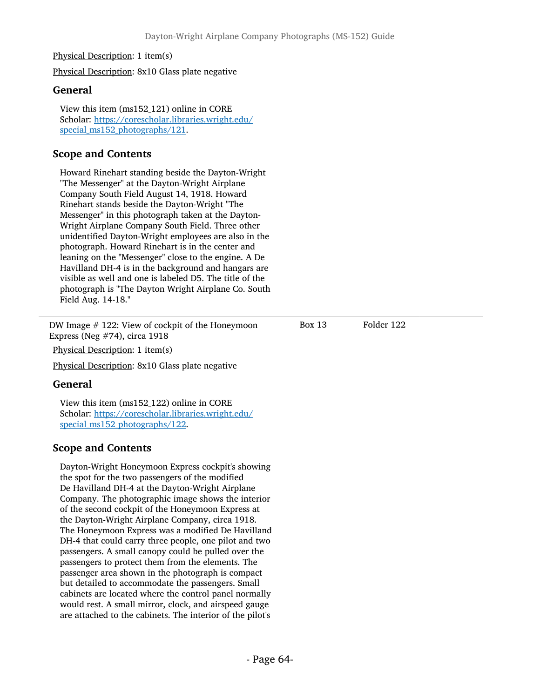#### Physical Description: 1 item(s)

Physical Description: 8x10 Glass plate negative

#### General

View this item (ms152\_121) online in CORE Scholar: [https://corescholar.libraries.wright.edu/](https://corescholar.libraries.wright.edu/special_ms152_photographs/121) special ms152 photographs/121.

## Scope and Contents

Howard Rinehart standing beside the Dayton-Wright "The Messenger" at the Dayton-Wright Airplane Company South Field August 14, 1918. Howard Rinehart stands beside the Dayton-Wright "The Messenger" in this photograph taken at the Dayton-Wright Airplane Company South Field. Three other unidentified Dayton-Wright employees are also in the photograph. Howard Rinehart is in the center and leaning on the "Messenger" close to the engine. A De Havilland DH-4 is in the background and hangars are visible as well and one is labeled D5. The title of the photograph is "The Dayton Wright Airplane Co. South Field Aug. 14-18."

DW Image # 122: View of cockpit of the Honeymoon Express (Neg #74), circa 1918

Physical Description: 1 item(s)

Physical Description: 8x10 Glass plate negative

### General

View this item (ms152\_122) online in CORE Scholar: [https://corescholar.libraries.wright.edu/](https://corescholar.libraries.wright.edu/special_ms152_photographs/122) special ms152 photographs/122.

### Scope and Contents

Dayton-Wright Honeymoon Express cockpit's showing the spot for the two passengers of the modified De Havilland DH-4 at the Dayton-Wright Airplane Company. The photographic image shows the interior of the second cockpit of the Honeymoon Express at the Dayton-Wright Airplane Company, circa 1918. The Honeymoon Express was a modified De Havilland DH-4 that could carry three people, one pilot and two passengers. A small canopy could be pulled over the passengers to protect them from the elements. The passenger area shown in the photograph is compact but detailed to accommodate the passengers. Small cabinets are located where the control panel normally would rest. A small mirror, clock, and airspeed gauge are attached to the cabinets. The interior of the pilot's

Box 13 Folder 122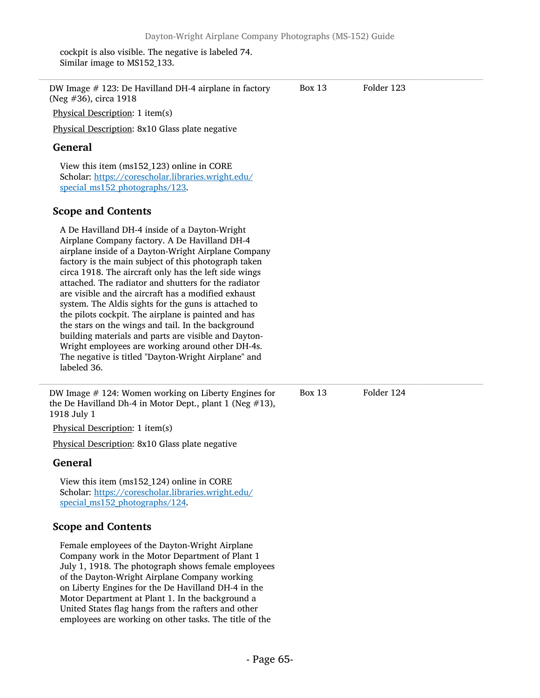cockpit is also visible. The negative is labeled 74. Similar image to MS152\_133.

| DW Image $#$ 123: De Havilland DH-4 airplane in factory<br>(Neg #36), circa 1918                                                                                                                                                                                                                                                                                                                                                                                                                                                                                                                                                                                                                                                             | <b>Box 13</b> | Folder 123 |  |
|----------------------------------------------------------------------------------------------------------------------------------------------------------------------------------------------------------------------------------------------------------------------------------------------------------------------------------------------------------------------------------------------------------------------------------------------------------------------------------------------------------------------------------------------------------------------------------------------------------------------------------------------------------------------------------------------------------------------------------------------|---------------|------------|--|
| Physical Description: 1 item(s)                                                                                                                                                                                                                                                                                                                                                                                                                                                                                                                                                                                                                                                                                                              |               |            |  |
| Physical Description: 8x10 Glass plate negative                                                                                                                                                                                                                                                                                                                                                                                                                                                                                                                                                                                                                                                                                              |               |            |  |
| <b>General</b>                                                                                                                                                                                                                                                                                                                                                                                                                                                                                                                                                                                                                                                                                                                               |               |            |  |
| View this item (ms152_123) online in CORE<br>Scholar: https://corescholar.libraries.wright.edu/<br>special ms152 photographs/123.                                                                                                                                                                                                                                                                                                                                                                                                                                                                                                                                                                                                            |               |            |  |
| <b>Scope and Contents</b>                                                                                                                                                                                                                                                                                                                                                                                                                                                                                                                                                                                                                                                                                                                    |               |            |  |
| A De Havilland DH-4 inside of a Dayton-Wright<br>Airplane Company factory. A De Havilland DH-4<br>airplane inside of a Dayton-Wright Airplane Company<br>factory is the main subject of this photograph taken<br>circa 1918. The aircraft only has the left side wings<br>attached. The radiator and shutters for the radiator<br>are visible and the aircraft has a modified exhaust<br>system. The Aldis sights for the guns is attached to<br>the pilots cockpit. The airplane is painted and has<br>the stars on the wings and tail. In the background<br>building materials and parts are visible and Dayton-<br>Wright employees are working around other DH-4s.<br>The negative is titled "Dayton-Wright Airplane" and<br>labeled 36. |               |            |  |
| DW Image $#$ 124: Women working on Liberty Engines for<br>the De Havilland Dh-4 in Motor Dept., plant 1 (Neg $#13$ ),<br>1918 July 1                                                                                                                                                                                                                                                                                                                                                                                                                                                                                                                                                                                                         | <b>Box 13</b> | Folder 124 |  |
| Physical Description: 1 item(s)                                                                                                                                                                                                                                                                                                                                                                                                                                                                                                                                                                                                                                                                                                              |               |            |  |
| Physical Description: 8x10 Glass plate negative                                                                                                                                                                                                                                                                                                                                                                                                                                                                                                                                                                                                                                                                                              |               |            |  |
| <b>General</b>                                                                                                                                                                                                                                                                                                                                                                                                                                                                                                                                                                                                                                                                                                                               |               |            |  |
| View this item (ms152_124) online in CORE<br>Scholar: https://corescholar.libraries.wright.edu/<br>special_ms152_photographs/124.                                                                                                                                                                                                                                                                                                                                                                                                                                                                                                                                                                                                            |               |            |  |
| <b>Scope and Contents</b>                                                                                                                                                                                                                                                                                                                                                                                                                                                                                                                                                                                                                                                                                                                    |               |            |  |
| Female employees of the Dayton-Wright Airplane<br>Company work in the Motor Department of Plant 1<br>July 1, 1918. The photograph shows female employees<br>of the Dayton-Wright Airplane Company working<br>on Liberty Engines for the De Havilland DH-4 in the<br>Motor Department at Plant 1. In the background a<br>United States flag hangs from the rafters and other                                                                                                                                                                                                                                                                                                                                                                  |               |            |  |

employees are working on other tasks. The title of the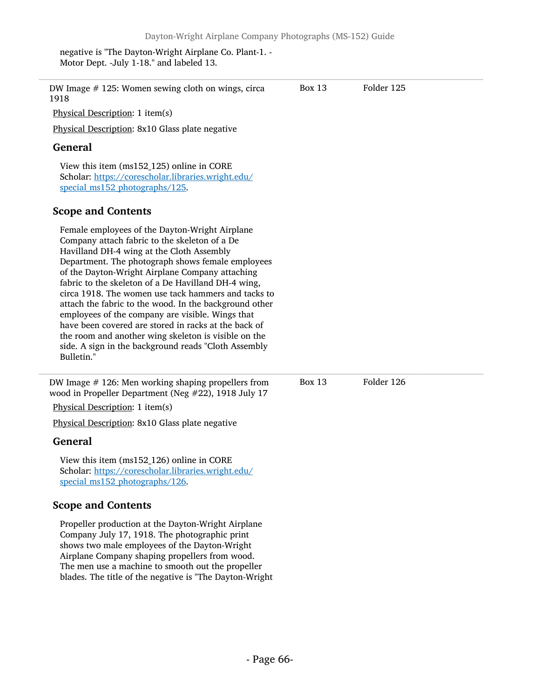negative is "The Dayton-Wright Airplane Co. Plant-1. - Motor Dept. -July 1-18." and labeled 13.

shows two male employees of the Dayton-Wright Airplane Company shaping propellers from wood. The men use a machine to smooth out the propeller blades. The title of the negative is "The Dayton-Wright

| DW Image $#$ 125: Women sewing cloth on wings, circa<br>1918                                                                                                                                                                                                                                                                                                                                                                                                                                                                                                                                                                                                           | Box 13        | Folder 125 |  |
|------------------------------------------------------------------------------------------------------------------------------------------------------------------------------------------------------------------------------------------------------------------------------------------------------------------------------------------------------------------------------------------------------------------------------------------------------------------------------------------------------------------------------------------------------------------------------------------------------------------------------------------------------------------------|---------------|------------|--|
| Physical Description: 1 item(s)                                                                                                                                                                                                                                                                                                                                                                                                                                                                                                                                                                                                                                        |               |            |  |
| Physical Description: 8x10 Glass plate negative                                                                                                                                                                                                                                                                                                                                                                                                                                                                                                                                                                                                                        |               |            |  |
| <b>General</b>                                                                                                                                                                                                                                                                                                                                                                                                                                                                                                                                                                                                                                                         |               |            |  |
| View this item (ms152_125) online in CORE<br>Scholar: https://corescholar.libraries.wright.edu/<br>special ms152 photographs/125.                                                                                                                                                                                                                                                                                                                                                                                                                                                                                                                                      |               |            |  |
| <b>Scope and Contents</b>                                                                                                                                                                                                                                                                                                                                                                                                                                                                                                                                                                                                                                              |               |            |  |
| Female employees of the Dayton-Wright Airplane<br>Company attach fabric to the skeleton of a De<br>Havilland DH-4 wing at the Cloth Assembly<br>Department. The photograph shows female employees<br>of the Dayton-Wright Airplane Company attaching<br>fabric to the skeleton of a De Havilland DH-4 wing,<br>circa 1918. The women use tack hammers and tacks to<br>attach the fabric to the wood. In the background other<br>employees of the company are visible. Wings that<br>have been covered are stored in racks at the back of<br>the room and another wing skeleton is visible on the<br>side. A sign in the background reads "Cloth Assembly<br>Bulletin." |               |            |  |
| DW Image $#$ 126: Men working shaping propellers from<br>wood in Propeller Department (Neg #22), 1918 July 17                                                                                                                                                                                                                                                                                                                                                                                                                                                                                                                                                          | <b>Box 13</b> | Folder 126 |  |
| Physical Description: 1 item(s)                                                                                                                                                                                                                                                                                                                                                                                                                                                                                                                                                                                                                                        |               |            |  |
| Physical Description: 8x10 Glass plate negative                                                                                                                                                                                                                                                                                                                                                                                                                                                                                                                                                                                                                        |               |            |  |
| General                                                                                                                                                                                                                                                                                                                                                                                                                                                                                                                                                                                                                                                                |               |            |  |
| View this item (ms152_126) online in CORE<br>Scholar: https://corescholar.libraries.wright.edu/<br>special_ms152_photographs/126.                                                                                                                                                                                                                                                                                                                                                                                                                                                                                                                                      |               |            |  |
| <b>Scope and Contents</b>                                                                                                                                                                                                                                                                                                                                                                                                                                                                                                                                                                                                                                              |               |            |  |
| Propeller production at the Dayton-Wright Airplane<br>Company July 17, 1918. The photographic print                                                                                                                                                                                                                                                                                                                                                                                                                                                                                                                                                                    |               |            |  |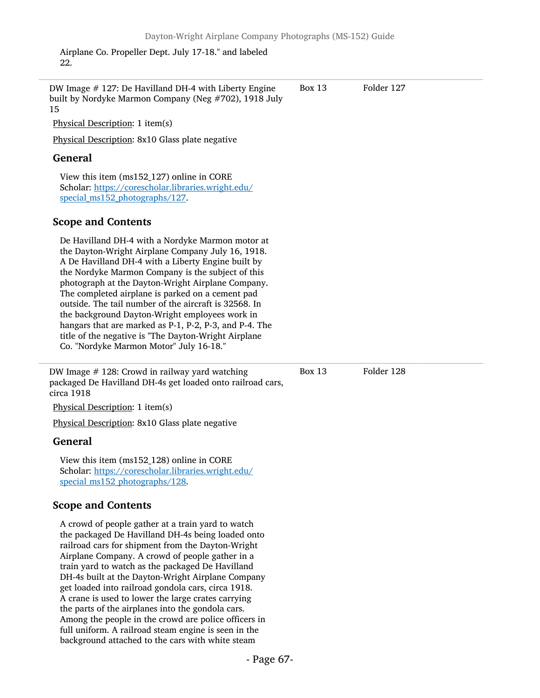Airplane Co. Propeller Dept. July 17-18." and labeled 22.

the parts of the airplanes into the gondola cars. Among the people in the crowd are police officers in full uniform. A railroad steam engine is seen in the background attached to the cars with white steam

15 DW Image # 127: De Havilland DH-4 with Liberty Engine built by Nordyke Marmon Company (Neg #702), 1918 July Physical Description: 1 item(s) Physical Description: 8x10 Glass plate negative General View this item (ms152\_127) online in CORE Scholar: [https://corescholar.libraries.wright.edu/](https://corescholar.libraries.wright.edu/special_ms152_photographs/127) special ms152 photographs/127. Scope and Contents De Havilland DH-4 with a Nordyke Marmon motor at the Dayton-Wright Airplane Company July 16, 1918. A De Havilland DH-4 with a Liberty Engine built by the Nordyke Marmon Company is the subject of this photograph at the Dayton-Wright Airplane Company. The completed airplane is parked on a cement pad outside. The tail number of the aircraft is 32568. In the background Dayton-Wright employees work in hangars that are marked as P-1, P-2, P-3, and P-4. The title of the negative is "The Dayton-Wright Airplane Co. "Nordyke Marmon Motor" July 16-18." Box 13 Folder 127 DW Image  $\#$  128: Crowd in railway yard watching  $\qquad \qquad$  Box 13 Folder 128 packaged De Havilland DH-4s get loaded onto railroad cars, circa 1918 Physical Description: 1 item(s) Physical Description: 8x10 Glass plate negative General View this item (ms152\_128) online in CORE Scholar: [https://corescholar.libraries.wright.edu/](https://corescholar.libraries.wright.edu/special_ms152_photographs/128) special ms152 photographs/128. Scope and Contents A crowd of people gather at a train yard to watch the packaged De Havilland DH-4s being loaded onto railroad cars for shipment from the Dayton-Wright Airplane Company. A crowd of people gather in a train yard to watch as the packaged De Havilland DH-4s built at the Dayton-Wright Airplane Company get loaded into railroad gondola cars, circa 1918. A crane is used to lower the large crates carrying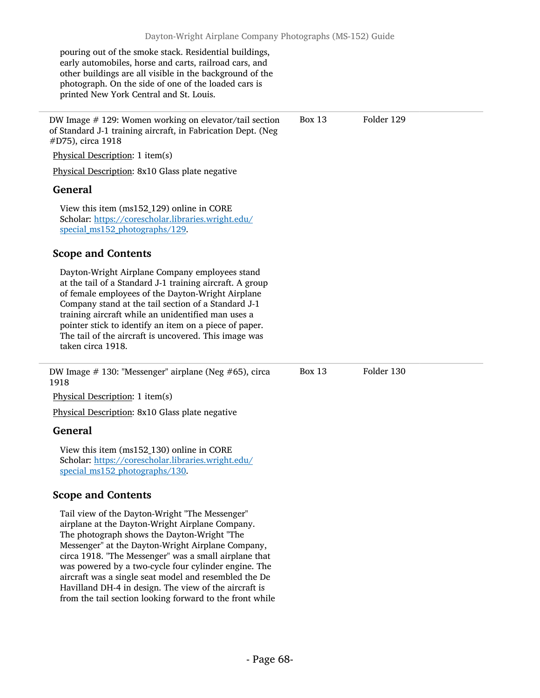pouring out of the smoke stack. Residential buildings, early automobiles, horse and carts, railroad cars, and other buildings are all visible in the background of the photograph. On the side of one of the loaded cars is printed New York Central and St. Louis.

DW Image # 129: Women working on elevator/tail section of Standard J-1 training aircraft, in Fabrication Dept. (Neg #D75), circa 1918

Physical Description: 1 item(s)

Physical Description: 8x10 Glass plate negative

## General

View this item (ms152\_129) online in CORE Scholar: [https://corescholar.libraries.wright.edu/](https://corescholar.libraries.wright.edu/special_ms152_photographs/129) special ms152 photographs/129.

## Scope and Contents

Dayton-Wright Airplane Company employees stand at the tail of a Standard J-1 training aircraft. A group of female employees of the Dayton-Wright Airplane Company stand at the tail section of a Standard J-1 training aircraft while an unidentified man uses a pointer stick to identify an item on a piece of paper. The tail of the aircraft is uncovered. This image was taken circa 1918.

DW Image # 130: "Messenger" airplane (Neg #65), circa 1918

Physical Description: 1 item(s)

Physical Description: 8x10 Glass plate negative

### General

View this item (ms152\_130) online in CORE Scholar: [https://corescholar.libraries.wright.edu/](https://corescholar.libraries.wright.edu/special_ms152_photographs/130) special ms152 photographs/130.

## Scope and Contents

Tail view of the Dayton-Wright "The Messenger" airplane at the Dayton-Wright Airplane Company. The photograph shows the Dayton-Wright "The Messenger" at the Dayton-Wright Airplane Company, circa 1918. "The Messenger" was a small airplane that was powered by a two-cycle four cylinder engine. The aircraft was a single seat model and resembled the De Havilland DH-4 in design. The view of the aircraft is from the tail section looking forward to the front while Box 13 Folder 129

Box 13 Folder 130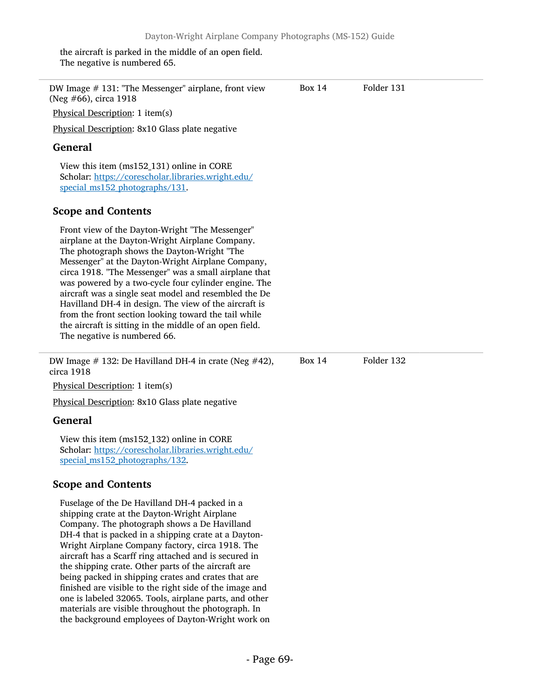the aircraft is parked in the middle of an open field. The negative is numbered 65.

| DW Image $#$ 131: "The Messenger" airplane, front view<br>(Neg #66), circa 1918                                                                                                                                                                                                                                                                                                                                                                                                                                                                                                                                                                                   | Box 14        | Folder 131 |
|-------------------------------------------------------------------------------------------------------------------------------------------------------------------------------------------------------------------------------------------------------------------------------------------------------------------------------------------------------------------------------------------------------------------------------------------------------------------------------------------------------------------------------------------------------------------------------------------------------------------------------------------------------------------|---------------|------------|
| Physical Description: 1 item(s)                                                                                                                                                                                                                                                                                                                                                                                                                                                                                                                                                                                                                                   |               |            |
| Physical Description: 8x10 Glass plate negative                                                                                                                                                                                                                                                                                                                                                                                                                                                                                                                                                                                                                   |               |            |
| <b>General</b>                                                                                                                                                                                                                                                                                                                                                                                                                                                                                                                                                                                                                                                    |               |            |
| View this item (ms152_131) online in CORE<br>Scholar: https://corescholar.libraries.wright.edu/<br>special_ms152_photographs/131.                                                                                                                                                                                                                                                                                                                                                                                                                                                                                                                                 |               |            |
| <b>Scope and Contents</b>                                                                                                                                                                                                                                                                                                                                                                                                                                                                                                                                                                                                                                         |               |            |
| Front view of the Dayton-Wright "The Messenger"<br>airplane at the Dayton-Wright Airplane Company.<br>The photograph shows the Dayton-Wright "The<br>Messenger" at the Dayton-Wright Airplane Company,<br>circa 1918. "The Messenger" was a small airplane that<br>was powered by a two-cycle four cylinder engine. The<br>aircraft was a single seat model and resembled the De<br>Havilland DH-4 in design. The view of the aircraft is<br>from the front section looking toward the tail while<br>the aircraft is sitting in the middle of an open field.<br>The negative is numbered 66.                                                                      |               |            |
| DW Image $\#$ 132: De Havilland DH-4 in crate (Neg $\#42$ ),<br>circa 1918                                                                                                                                                                                                                                                                                                                                                                                                                                                                                                                                                                                        | <b>Box 14</b> | Folder 132 |
| Physical Description: 1 item(s)                                                                                                                                                                                                                                                                                                                                                                                                                                                                                                                                                                                                                                   |               |            |
| Physical Description: 8x10 Glass plate negative                                                                                                                                                                                                                                                                                                                                                                                                                                                                                                                                                                                                                   |               |            |
| <b>General</b>                                                                                                                                                                                                                                                                                                                                                                                                                                                                                                                                                                                                                                                    |               |            |
| View this item (ms152_132) online in CORE<br>Scholar: https://corescholar.libraries.wright.edu/<br>special_ms152_photographs/132.                                                                                                                                                                                                                                                                                                                                                                                                                                                                                                                                 |               |            |
| <b>Scope and Contents</b>                                                                                                                                                                                                                                                                                                                                                                                                                                                                                                                                                                                                                                         |               |            |
| Fuselage of the De Havilland DH-4 packed in a<br>shipping crate at the Dayton-Wright Airplane<br>Company. The photograph shows a De Havilland<br>DH-4 that is packed in a shipping crate at a Dayton-<br>Wright Airplane Company factory, circa 1918. The<br>aircraft has a Scarff ring attached and is secured in<br>the shipping crate. Other parts of the aircraft are<br>being packed in shipping crates and crates that are<br>finished are visible to the right side of the image and<br>one is labeled 32065. Tools, airplane parts, and other<br>materials are visible throughout the photograph. In<br>the background employees of Dayton-Wright work on |               |            |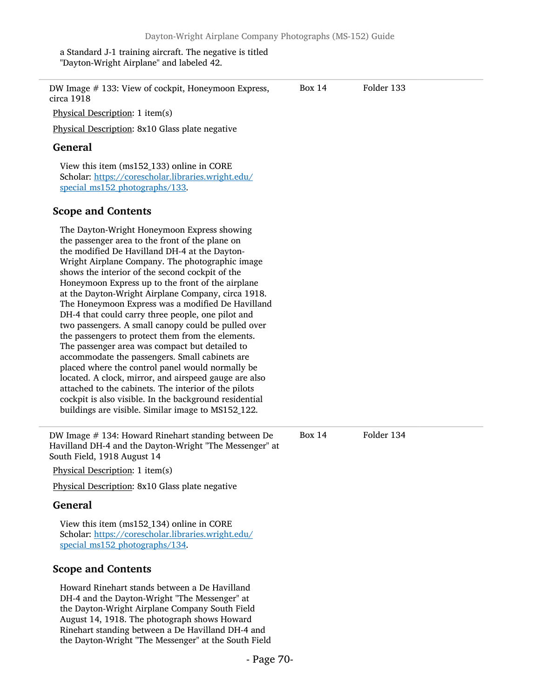a Standard J-1 training aircraft. The negative is titled "Dayton-Wright Airplane" and labeled 42.

| DW Image # 133: View of cockpit, Honeymoon Express,<br>circa 1918                                                                                                                                                                                                                                                                                                                                                                                                                                                                                                                                                                                                                                                                                                                                                                                                                                                                                                               | <b>Box 14</b> | Folder 133 |
|---------------------------------------------------------------------------------------------------------------------------------------------------------------------------------------------------------------------------------------------------------------------------------------------------------------------------------------------------------------------------------------------------------------------------------------------------------------------------------------------------------------------------------------------------------------------------------------------------------------------------------------------------------------------------------------------------------------------------------------------------------------------------------------------------------------------------------------------------------------------------------------------------------------------------------------------------------------------------------|---------------|------------|
| Physical Description: 1 item(s)                                                                                                                                                                                                                                                                                                                                                                                                                                                                                                                                                                                                                                                                                                                                                                                                                                                                                                                                                 |               |            |
| Physical Description: 8x10 Glass plate negative                                                                                                                                                                                                                                                                                                                                                                                                                                                                                                                                                                                                                                                                                                                                                                                                                                                                                                                                 |               |            |
| <b>General</b>                                                                                                                                                                                                                                                                                                                                                                                                                                                                                                                                                                                                                                                                                                                                                                                                                                                                                                                                                                  |               |            |
| View this item (ms152_133) online in CORE<br>Scholar: https://corescholar.libraries.wright.edu/<br>special_ms152_photographs/133.                                                                                                                                                                                                                                                                                                                                                                                                                                                                                                                                                                                                                                                                                                                                                                                                                                               |               |            |
| <b>Scope and Contents</b>                                                                                                                                                                                                                                                                                                                                                                                                                                                                                                                                                                                                                                                                                                                                                                                                                                                                                                                                                       |               |            |
| The Dayton-Wright Honeymoon Express showing<br>the passenger area to the front of the plane on<br>the modified De Havilland DH-4 at the Dayton-<br>Wright Airplane Company. The photographic image<br>shows the interior of the second cockpit of the<br>Honeymoon Express up to the front of the airplane<br>at the Dayton-Wright Airplane Company, circa 1918.<br>The Honeymoon Express was a modified De Havilland<br>DH-4 that could carry three people, one pilot and<br>two passengers. A small canopy could be pulled over<br>the passengers to protect them from the elements.<br>The passenger area was compact but detailed to<br>accommodate the passengers. Small cabinets are<br>placed where the control panel would normally be<br>located. A clock, mirror, and airspeed gauge are also<br>attached to the cabinets. The interior of the pilots<br>cockpit is also visible. In the background residential<br>buildings are visible. Similar image to MS152_122. |               |            |
| DW Image # 134: Howard Rinehart standing between De<br>Havilland DH-4 and the Dayton-Wright "The Messenger" at<br>South Field, 1918 August 14                                                                                                                                                                                                                                                                                                                                                                                                                                                                                                                                                                                                                                                                                                                                                                                                                                   | <b>Box 14</b> | Folder 134 |
| Physical Description: 1 item(s)                                                                                                                                                                                                                                                                                                                                                                                                                                                                                                                                                                                                                                                                                                                                                                                                                                                                                                                                                 |               |            |
| Physical Description: 8x10 Glass plate negative                                                                                                                                                                                                                                                                                                                                                                                                                                                                                                                                                                                                                                                                                                                                                                                                                                                                                                                                 |               |            |
| General                                                                                                                                                                                                                                                                                                                                                                                                                                                                                                                                                                                                                                                                                                                                                                                                                                                                                                                                                                         |               |            |
| View this item (ms152_134) online in CORE<br>Scholar: https://corescholar.libraries.wright.edu/<br>special_ms152_photographs/134.                                                                                                                                                                                                                                                                                                                                                                                                                                                                                                                                                                                                                                                                                                                                                                                                                                               |               |            |
| <b>Scope and Contents</b>                                                                                                                                                                                                                                                                                                                                                                                                                                                                                                                                                                                                                                                                                                                                                                                                                                                                                                                                                       |               |            |
| Howard Rinehart stands between a De Havilland<br>DH-4 and the Dayton-Wright "The Messenger" at<br>the Dayton-Wright Airplane Company South Field<br>August 14, 1918. The photograph shows Howard<br>Rinehart standing between a De Havilland DH-4 and                                                                                                                                                                                                                                                                                                                                                                                                                                                                                                                                                                                                                                                                                                                           |               |            |

the Dayton-Wright "The Messenger" at the South Field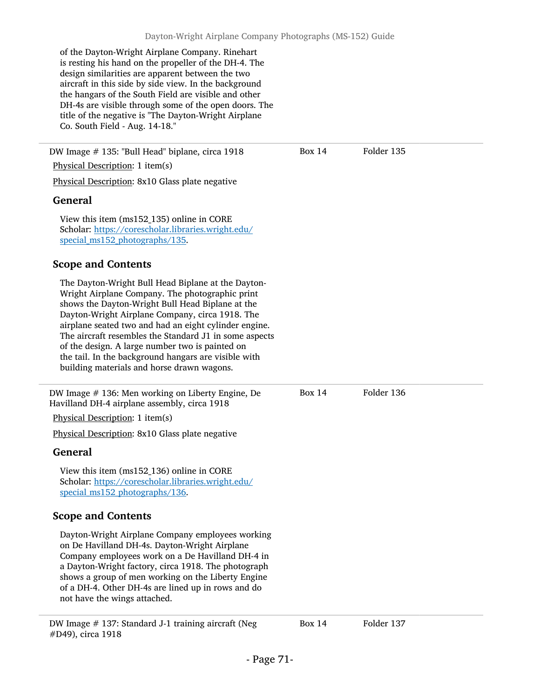of the Dayton-Wright Airplane Company. Rinehart is resting his hand on the propeller of the DH-4. The design similarities are apparent between the two aircraft in this side by side view. In the background the hangars of the South Field are visible and other DH-4s are visible through some of the open doors. The title of the negative is "The Dayton-Wright Airplane Co. South Field - Aug. 14-18."

DW Image # 135: "Bull Head" biplane, circa 1918 Physical Description: 1 item(s) Physical Description: 8x10 Glass plate negative General View this item (ms152\_135) online in CORE Scholar: [https://corescholar.libraries.wright.edu/](https://corescholar.libraries.wright.edu/special_ms152_photographs/135) special ms152 photographs/135. Scope and Contents The Dayton-Wright Bull Head Biplane at the Dayton-Wright Airplane Company. The photographic print shows the Dayton-Wright Bull Head Biplane at the Dayton-Wright Airplane Company, circa 1918. The airplane seated two and had an eight cylinder engine. The aircraft resembles the Standard J1 in some aspects of the design. A large number two is painted on the tail. In the background hangars are visible with building materials and horse drawn wagons. Box 14 Folder 135 DW Image # 136: Men working on Liberty Engine, De Havilland DH-4 airplane assembly, circa 1918 Physical Description: 1 item(s) Physical Description: 8x10 Glass plate negative General View this item (ms152\_136) online in CORE Scholar: [https://corescholar.libraries.wright.edu/](https://corescholar.libraries.wright.edu/special_ms152_photographs/136) special ms152 photographs/136. Scope and Contents Dayton-Wright Airplane Company employees working on De Havilland DH-4s. Dayton-Wright Airplane Company employees work on a De Havilland DH-4 in a Dayton-Wright factory, circa 1918. The photograph shows a group of men working on the Liberty Engine of a DH-4. Other DH-4s are lined up in rows and do not have the wings attached. Box 14 Folder 136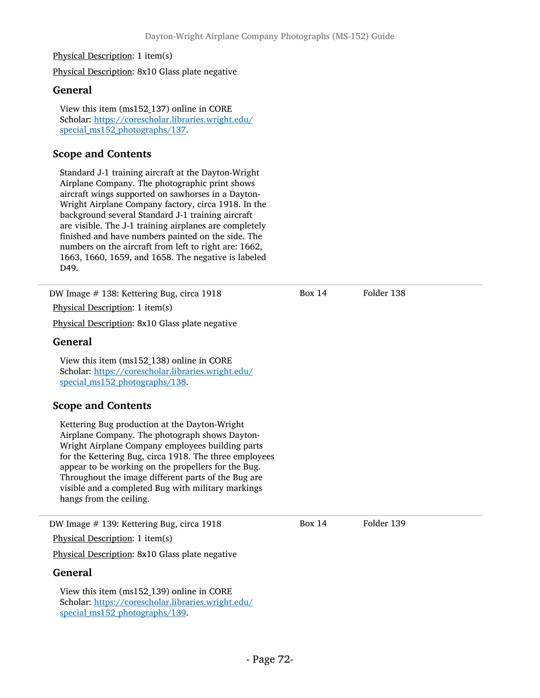#### Physical Description: 1 item(s)

Physical Description: 8x10 Glass plate negative

#### General

View this item (ms152\_137) online in CORE Scholar: [https://corescholar.libraries.wright.edu/](https://corescholar.libraries.wright.edu/special_ms152_photographs/137) special ms152 photographs/137.

## Scope and Contents

Standard J-1 training aircraft at the Dayton-Wright Airplane Company. The photographic print shows aircraft wings supported on sawhorses in a Dayton-Wright Airplane Company factory, circa 1918. In the background several Standard J-1 training aircraft are visible. The J-1 training airplanes are completely finished and have numbers painted on the side. The numbers on the aircraft from left to right are: 1662, 1663, 1660, 1659, and 1658. The negative is labeled D49.

| DW Image # 138: Kettering Bug, circa 1918                                                                                                                                                                                                                                                                                                                                                                    | <b>Box 14</b> | Folder 138 |  |
|--------------------------------------------------------------------------------------------------------------------------------------------------------------------------------------------------------------------------------------------------------------------------------------------------------------------------------------------------------------------------------------------------------------|---------------|------------|--|
| Physical Description: 1 item(s)                                                                                                                                                                                                                                                                                                                                                                              |               |            |  |
| Physical Description: 8x10 Glass plate negative                                                                                                                                                                                                                                                                                                                                                              |               |            |  |
| <b>General</b>                                                                                                                                                                                                                                                                                                                                                                                               |               |            |  |
| View this item (ms152_138) online in CORE<br>Scholar: https://corescholar.libraries.wright.edu/<br>special ms152 photographs/138.                                                                                                                                                                                                                                                                            |               |            |  |
| <b>Scope and Contents</b>                                                                                                                                                                                                                                                                                                                                                                                    |               |            |  |
| Kettering Bug production at the Dayton-Wright<br>Airplane Company. The photograph shows Dayton-<br>Wright Airplane Company employees building parts<br>for the Kettering Bug, circa 1918. The three employees<br>appear to be working on the propellers for the Bug.<br>Throughout the image different parts of the Bug are<br>visible and a completed Bug with military markings<br>hangs from the ceiling. |               |            |  |
| DW Image # 139: Kettering Bug, circa 1918                                                                                                                                                                                                                                                                                                                                                                    | Box $14$      | Folder 139 |  |
| Physical Description: 1 item(s)                                                                                                                                                                                                                                                                                                                                                                              |               |            |  |
| Physical Description: 8x10 Glass plate negative                                                                                                                                                                                                                                                                                                                                                              |               |            |  |
| <b>General</b><br>View this item (ms152_139) online in CORE<br>Scholar: https://corescholar.libraries.wright.edu/<br>special_ms152_photographs/139.                                                                                                                                                                                                                                                          |               |            |  |
|                                                                                                                                                                                                                                                                                                                                                                                                              |               |            |  |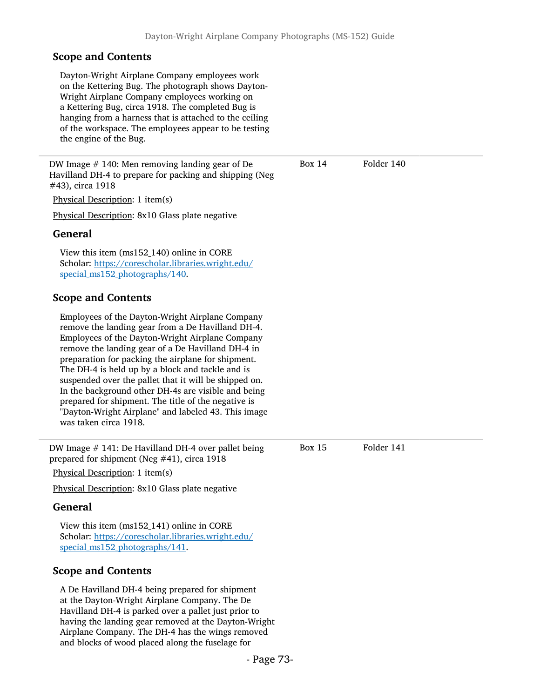Dayton-Wright Airplane Company employees work on the Kettering Bug. The photograph shows Dayton-Wright Airplane Company employees working on a Kettering Bug, circa 1918. The completed Bug is hanging from a harness that is attached to the ceiling of the workspace. The employees appear to be testing the engine of the Bug.

DW Image # 140: Men removing landing gear of De Havilland DH-4 to prepare for packing and shipping (Neg #43), circa 1918

Physical Description: 1 item(s)

Physical Description: 8x10 Glass plate negative

#### General

View this item (ms152\_140) online in CORE Scholar: [https://corescholar.libraries.wright.edu/](https://corescholar.libraries.wright.edu/special_ms152_photographs/140) special ms152 photographs/140.

#### Scope and Contents

Employees of the Dayton-Wright Airplane Company remove the landing gear from a De Havilland DH-4. Employees of the Dayton-Wright Airplane Company remove the landing gear of a De Havilland DH-4 in preparation for packing the airplane for shipment. The DH-4 is held up by a block and tackle and is suspended over the pallet that it will be shipped on. In the background other DH-4s are visible and being prepared for shipment. The title of the negative is "Dayton-Wright Airplane" and labeled 43. This image was taken circa 1918.

DW Image # 141: De Havilland DH-4 over pallet being prepared for shipment (Neg #41), circa 1918

Physical Description: 1 item(s)

Physical Description: 8x10 Glass plate negative

### General

View this item (ms152\_141) online in CORE Scholar: [https://corescholar.libraries.wright.edu/](https://corescholar.libraries.wright.edu/special_ms152_photographs/141) special ms152 photographs/141.

### Scope and Contents

A De Havilland DH-4 being prepared for shipment at the Dayton-Wright Airplane Company. The De Havilland DH-4 is parked over a pallet just prior to having the landing gear removed at the Dayton-Wright Airplane Company. The DH-4 has the wings removed and blocks of wood placed along the fuselage for

Box 14 Folder 140

Box 15 Folder 141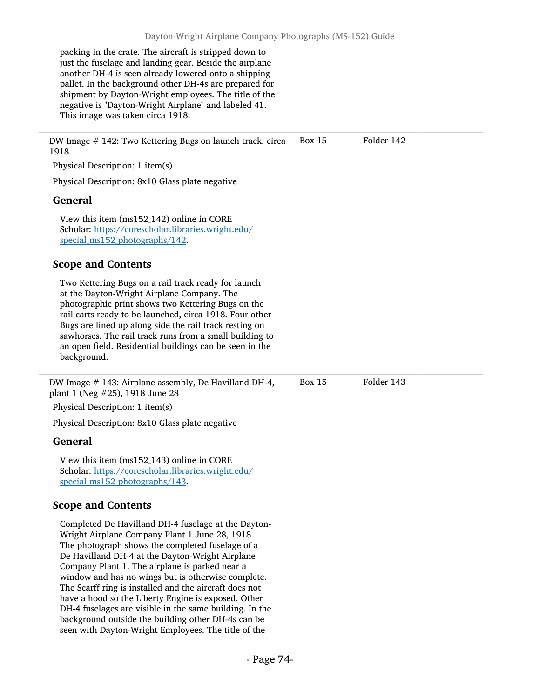packing in the crate. The aircraft is stripped down to just the fuselage and landing gear. Beside the airplane another DH-4 is seen already lowered onto a shipping pallet. In the background other DH-4s are prepared for shipment by Dayton-Wright employees. The title of the negative is "Dayton-Wright Airplane" and labeled 41. This image was taken circa 1918.

DW Image # 142: Two Kettering Bugs on launch track, circa Box 15 Folder 142 1918

Physical Description: 1 item(s)

Physical Description: 8x10 Glass plate negative

### General

View this item (ms152\_142) online in CORE Scholar: [https://corescholar.libraries.wright.edu/](https://corescholar.libraries.wright.edu/special_ms152_photographs/142) special ms152 photographs/142.

## Scope and Contents

Two Kettering Bugs on a rail track ready for launch at the Dayton-Wright Airplane Company. The photographic print shows two Kettering Bugs on the rail carts ready to be launched, circa 1918. Four other Bugs are lined up along side the rail track resting on sawhorses. The rail track runs from a small building to an open field. Residential buildings can be seen in the background.

DW Image # 143: Airplane assembly, De Havilland DH-4, plant 1 (Neg #25), 1918 June 28

Physical Description: 1 item(s)

Physical Description: 8x10 Glass plate negative

### General

View this item (ms152\_143) online in CORE Scholar: [https://corescholar.libraries.wright.edu/](https://corescholar.libraries.wright.edu/special_ms152_photographs/143) special ms152 photographs/143.

### Scope and Contents

Completed De Havilland DH-4 fuselage at the Dayton-Wright Airplane Company Plant 1 June 28, 1918. The photograph shows the completed fuselage of a De Havilland DH-4 at the Dayton-Wright Airplane Company Plant 1. The airplane is parked near a window and has no wings but is otherwise complete. The Scarff ring is installed and the aircraft does not have a hood so the Liberty Engine is exposed. Other DH-4 fuselages are visible in the same building. In the background outside the building other DH-4s can be seen with Dayton-Wright Employees. The title of the

Box 15 Folder 143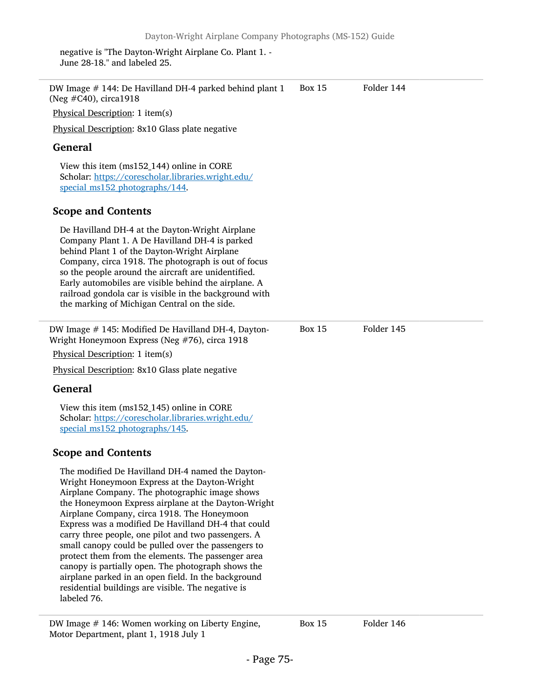negative is "The Dayton-Wright Airplane Co. Plant 1. - June 28-18." and labeled 25.

| DW Image # 144: De Havilland DH-4 parked behind plant 1<br>(Neg #C40), circa1918                                                                                                                                                                                                                                                                                                                                                                                                                                                                                                                                                                                       | <b>Box 15</b> | Folder 144 |
|------------------------------------------------------------------------------------------------------------------------------------------------------------------------------------------------------------------------------------------------------------------------------------------------------------------------------------------------------------------------------------------------------------------------------------------------------------------------------------------------------------------------------------------------------------------------------------------------------------------------------------------------------------------------|---------------|------------|
| Physical Description: 1 item(s)                                                                                                                                                                                                                                                                                                                                                                                                                                                                                                                                                                                                                                        |               |            |
| Physical Description: 8x10 Glass plate negative                                                                                                                                                                                                                                                                                                                                                                                                                                                                                                                                                                                                                        |               |            |
| <b>General</b>                                                                                                                                                                                                                                                                                                                                                                                                                                                                                                                                                                                                                                                         |               |            |
| View this item (ms152_144) online in CORE<br>Scholar: https://corescholar.libraries.wright.edu/<br>special_ms152_photographs/144.                                                                                                                                                                                                                                                                                                                                                                                                                                                                                                                                      |               |            |
| <b>Scope and Contents</b>                                                                                                                                                                                                                                                                                                                                                                                                                                                                                                                                                                                                                                              |               |            |
| De Havilland DH-4 at the Dayton-Wright Airplane<br>Company Plant 1. A De Havilland DH-4 is parked<br>behind Plant 1 of the Dayton-Wright Airplane<br>Company, circa 1918. The photograph is out of focus<br>so the people around the aircraft are unidentified.<br>Early automobiles are visible behind the airplane. A<br>railroad gondola car is visible in the background with<br>the marking of Michigan Central on the side.                                                                                                                                                                                                                                      |               |            |
| DW Image # 145: Modified De Havilland DH-4, Dayton-<br>Wright Honeymoon Express (Neg #76), circa 1918                                                                                                                                                                                                                                                                                                                                                                                                                                                                                                                                                                  | <b>Box 15</b> | Folder 145 |
| Physical Description: 1 item(s)                                                                                                                                                                                                                                                                                                                                                                                                                                                                                                                                                                                                                                        |               |            |
| Physical Description: 8x10 Glass plate negative                                                                                                                                                                                                                                                                                                                                                                                                                                                                                                                                                                                                                        |               |            |
| <b>General</b>                                                                                                                                                                                                                                                                                                                                                                                                                                                                                                                                                                                                                                                         |               |            |
| View this item (ms152_145) online in CORE<br>Scholar: https://corescholar.libraries.wright.edu/<br>special_ms152_photographs/145.                                                                                                                                                                                                                                                                                                                                                                                                                                                                                                                                      |               |            |
| <b>Scope and Contents</b>                                                                                                                                                                                                                                                                                                                                                                                                                                                                                                                                                                                                                                              |               |            |
| The modified De Havilland DH-4 named the Dayton-<br>Wright Honeymoon Express at the Dayton-Wright<br>Airplane Company. The photographic image shows<br>the Honeymoon Express airplane at the Dayton-Wright<br>Airplane Company, circa 1918. The Honeymoon<br>Express was a modified De Havilland DH-4 that could<br>carry three people, one pilot and two passengers. A<br>small canopy could be pulled over the passengers to<br>protect them from the elements. The passenger area<br>canopy is partially open. The photograph shows the<br>airplane parked in an open field. In the background<br>residential buildings are visible. The negative is<br>labeled 76. |               |            |
| DW Image $#$ 146: Women working on Liberty Engine,                                                                                                                                                                                                                                                                                                                                                                                                                                                                                                                                                                                                                     | <b>Box 15</b> | Folder 146 |

Motor Department, plant 1, 1918 July 1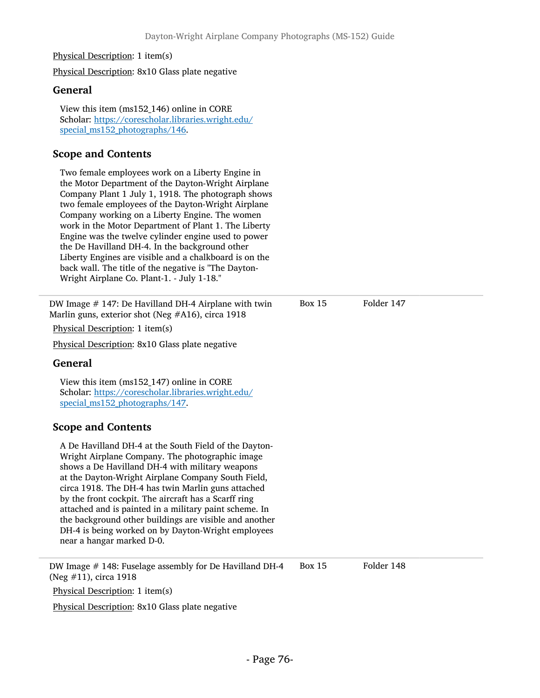#### Physical Description: 1 item(s)

Physical Description: 8x10 Glass plate negative

#### General

View this item (ms152\_146) online in CORE Scholar: [https://corescholar.libraries.wright.edu/](https://corescholar.libraries.wright.edu/special_ms152_photographs/146) special ms152 photographs/146.

## Scope and Contents

Two female employees work on a Liberty Engine in the Motor Department of the Dayton-Wright Airplane Company Plant 1 July 1, 1918. The photograph shows two female employees of the Dayton-Wright Airplane Company working on a Liberty Engine. The women work in the Motor Department of Plant 1. The Liberty Engine was the twelve cylinder engine used to power the De Havilland DH-4. In the background other Liberty Engines are visible and a chalkboard is on the back wall. The title of the negative is "The Dayton-Wright Airplane Co. Plant-1. - July 1-18."

DW Image  $#$  147: De Havilland DH-4 Airplane with twin Marlin guns, exterior shot (Neg #A16), circa 1918 Box 15 Folder 147 Physical Description: 1 item(s) Physical Description: 8x10 Glass plate negative General View this item (ms152\_147) online in CORE Scholar: [https://corescholar.libraries.wright.edu/](https://corescholar.libraries.wright.edu/special_ms152_photographs/147) special ms152 photographs/147. Scope and Contents A De Havilland DH-4 at the South Field of the Dayton-Wright Airplane Company. The photographic image shows a De Havilland DH-4 with military weapons at the Dayton-Wright Airplane Company South Field, circa 1918. The DH-4 has twin Marlin guns attached by the front cockpit. The aircraft has a Scarff ring attached and is painted in a military paint scheme. In the background other buildings are visible and another DH-4 is being worked on by Dayton-Wright employees near a hangar marked D-0. DW Image # 148: Fuselage assembly for De Havilland DH-4 (Neg #11), circa 1918 Box 15 Folder 148 Physical Description: 1 item(s) Physical Description: 8x10 Glass plate negative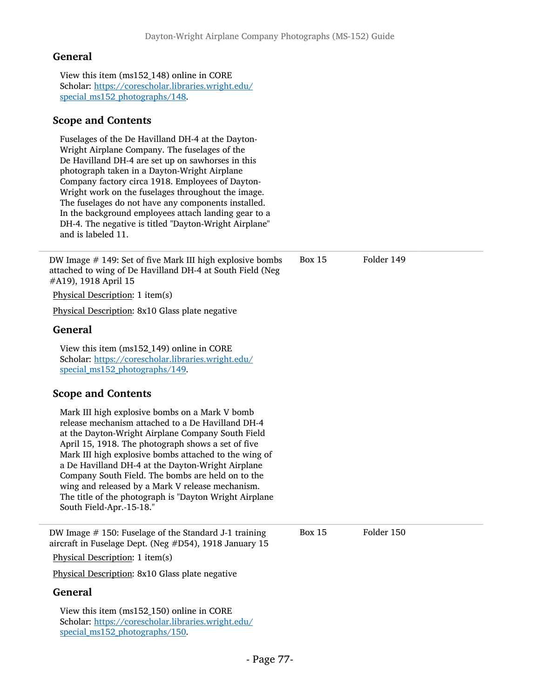View this item (ms152\_148) online in CORE Scholar: [https://corescholar.libraries.wright.edu/](https://corescholar.libraries.wright.edu/special_ms152_photographs/148) [special\\_ms152\\_photographs/148](https://corescholar.libraries.wright.edu/special_ms152_photographs/148).

### Scope and Contents

Fuselages of the De Havilland DH-4 at the Dayton-Wright Airplane Company. The fuselages of the De Havilland DH-4 are set up on sawhorses in this photograph taken in a Dayton-Wright Airplane Company factory circa 1918. Employees of Dayton-Wright work on the fuselages throughout the image. The fuselages do not have any components installed. In the background employees attach landing gear to a DH-4. The negative is titled "Dayton-Wright Airplane" and is labeled 11.

DW Image # 149: Set of five Mark III high explosive bombs attached to wing of De Havilland DH-4 at South Field (Neg #A19), 1918 April 15 Box 15 Folder 149 Physical Description: 1 item(s) Physical Description: 8x10 Glass plate negative General View this item (ms152\_149) online in CORE Scholar: [https://corescholar.libraries.wright.edu/](https://corescholar.libraries.wright.edu/special_ms152_photographs/149) [special\\_ms152\\_photographs/149](https://corescholar.libraries.wright.edu/special_ms152_photographs/149). Scope and Contents Mark III high explosive bombs on a Mark V bomb release mechanism attached to a De Havilland DH-4 at the Dayton-Wright Airplane Company South Field April 15, 1918. The photograph shows a set of five Mark III high explosive bombs attached to the wing of a De Havilland DH-4 at the Dayton-Wright Airplane Company South Field. The bombs are held on to the wing and released by a Mark V release mechanism. The title of the photograph is "Dayton Wright Airplane South Field-Apr.-15-18." DW Image # 150: Fuselage of the Standard J-1 training aircraft in Fuselage Dept. (Neg #D54), 1918 January 15 Box 15 Folder 150 Physical Description: 1 item(s) Physical Description: 8x10 Glass plate negative General View this item (ms152\_150) online in CORE Scholar: [https://corescholar.libraries.wright.edu/](https://corescholar.libraries.wright.edu/special_ms152_photographs/150) special ms152 photographs/150.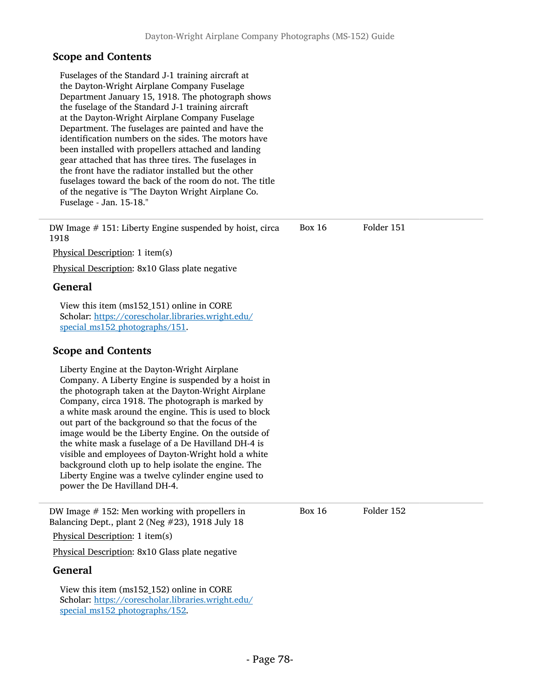Fuselages of the Standard J-1 training aircraft at the Dayton-Wright Airplane Company Fuselage Department January 15, 1918. The photograph shows the fuselage of the Standard J-1 training aircraft at the Dayton-Wright Airplane Company Fuselage Department. The fuselages are painted and have the identification numbers on the sides. The motors have been installed with propellers attached and landing gear attached that has three tires. The fuselages in the front have the radiator installed but the other fuselages toward the back of the room do not. The title of the negative is "The Dayton Wright Airplane Co. Fuselage - Jan. 15-18."

DW Image # 151: Liberty Engine suspended by hoist, circa 1918 Box 16 Folder 151

Physical Description: 1 item(s)

Physical Description: 8x10 Glass plate negative

#### General

View this item (ms152\_151) online in CORE Scholar: [https://corescholar.libraries.wright.edu/](https://corescholar.libraries.wright.edu/special_ms152_photographs/151) special ms152 photographs/151.

### Scope and Contents

Liberty Engine at the Dayton-Wright Airplane Company. A Liberty Engine is suspended by a hoist in the photograph taken at the Dayton-Wright Airplane Company, circa 1918. The photograph is marked by a white mask around the engine. This is used to block out part of the background so that the focus of the image would be the Liberty Engine. On the outside of the white mask a fuselage of a De Havilland DH-4 is visible and employees of Dayton-Wright hold a white background cloth up to help isolate the engine. The Liberty Engine was a twelve cylinder engine used to power the De Havilland DH-4.

DW Image # 152: Men working with propellers in Balancing Dept., plant 2 (Neg #23), 1918 July 18

Physical Description: 1 item(s)

Physical Description: 8x10 Glass plate negative

#### General

View this item (ms152\_152) online in CORE Scholar: [https://corescholar.libraries.wright.edu/](https://corescholar.libraries.wright.edu/special_ms152_photographs/152) special ms152 photographs/152.

Box 16 Folder 152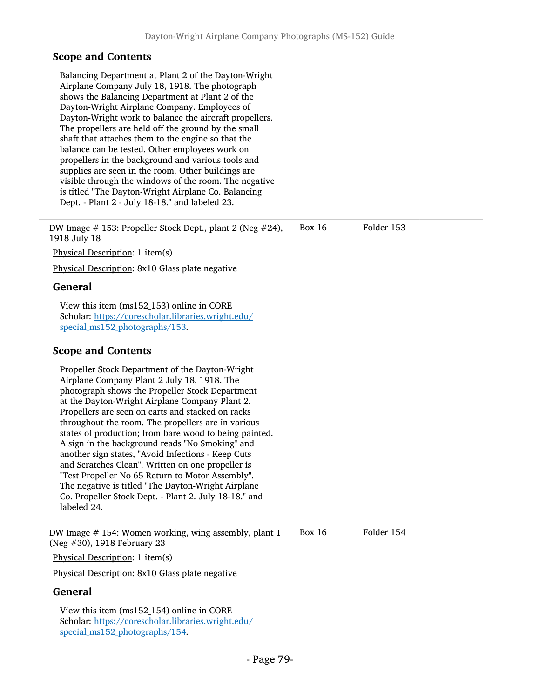Balancing Department at Plant 2 of the Dayton-Wright Airplane Company July 18, 1918. The photograph shows the Balancing Department at Plant 2 of the Dayton-Wright Airplane Company. Employees of Dayton-Wright work to balance the aircraft propellers. The propellers are held off the ground by the small shaft that attaches them to the engine so that the balance can be tested. Other employees work on propellers in the background and various tools and supplies are seen in the room. Other buildings are visible through the windows of the room. The negative is titled "The Dayton-Wright Airplane Co. Balancing Dept. - Plant 2 - July 18-18." and labeled 23.

DW Image # 153: Propeller Stock Dept., plant 2 (Neg #24), 1918 July 18 Box 16 Folder 153

Physical Description: 1 item(s)

Physical Description: 8x10 Glass plate negative

#### General

View this item (ms152\_153) online in CORE Scholar: [https://corescholar.libraries.wright.edu/](https://corescholar.libraries.wright.edu/special_ms152_photographs/153) special ms152 photographs/153.

### Scope and Contents

Propeller Stock Department of the Dayton-Wright Airplane Company Plant 2 July 18, 1918. The photograph shows the Propeller Stock Department at the Dayton-Wright Airplane Company Plant 2. Propellers are seen on carts and stacked on racks throughout the room. The propellers are in various states of production; from bare wood to being painted. A sign in the background reads "No Smoking" and another sign states, "Avoid Infections - Keep Cuts and Scratches Clean". Written on one propeller is "Test Propeller No 65 Return to Motor Assembly". The negative is titled "The Dayton-Wright Airplane Co. Propeller Stock Dept. - Plant 2. July 18-18." and labeled 24.

DW Image # 154: Women working, wing assembly, plant 1 (Neg #30), 1918 February 23

Box 16 Folder 154

Physical Description: 1 item(s)

Physical Description: 8x10 Glass plate negative

#### General

View this item (ms152\_154) online in CORE Scholar: [https://corescholar.libraries.wright.edu/](https://corescholar.libraries.wright.edu/special_ms152_photographs/154) special ms152 photographs/154.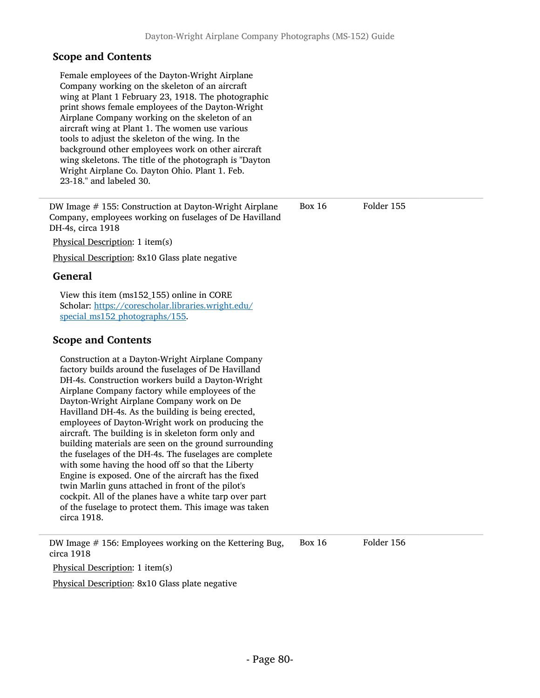| Female employees of the Dayton-Wright Airplane<br>Company working on the skeleton of an aircraft<br>wing at Plant 1 February 23, 1918. The photographic<br>print shows female employees of the Dayton-Wright<br>Airplane Company working on the skeleton of an<br>aircraft wing at Plant 1. The women use various<br>tools to adjust the skeleton of the wing. In the<br>background other employees work on other aircraft<br>wing skeletons. The title of the photograph is "Dayton<br>Wright Airplane Co. Dayton Ohio. Plant 1. Feb.<br>23-18." and labeled 30.                                                                                                                                                                                                                                                                                    |               |            |
|------------------------------------------------------------------------------------------------------------------------------------------------------------------------------------------------------------------------------------------------------------------------------------------------------------------------------------------------------------------------------------------------------------------------------------------------------------------------------------------------------------------------------------------------------------------------------------------------------------------------------------------------------------------------------------------------------------------------------------------------------------------------------------------------------------------------------------------------------|---------------|------------|
| DW Image # 155: Construction at Dayton-Wright Airplane<br>Company, employees working on fuselages of De Havilland<br>DH-4s, circa 1918                                                                                                                                                                                                                                                                                                                                                                                                                                                                                                                                                                                                                                                                                                               | <b>Box 16</b> | Folder 155 |
| Physical Description: 1 item(s)                                                                                                                                                                                                                                                                                                                                                                                                                                                                                                                                                                                                                                                                                                                                                                                                                      |               |            |
| Physical Description: 8x10 Glass plate negative                                                                                                                                                                                                                                                                                                                                                                                                                                                                                                                                                                                                                                                                                                                                                                                                      |               |            |
| <b>General</b>                                                                                                                                                                                                                                                                                                                                                                                                                                                                                                                                                                                                                                                                                                                                                                                                                                       |               |            |
| View this item (ms152_155) online in CORE<br>Scholar: https://corescholar.libraries.wright.edu/<br>special_ms152_photographs/155.                                                                                                                                                                                                                                                                                                                                                                                                                                                                                                                                                                                                                                                                                                                    |               |            |
| <b>Scope and Contents</b>                                                                                                                                                                                                                                                                                                                                                                                                                                                                                                                                                                                                                                                                                                                                                                                                                            |               |            |
| Construction at a Dayton-Wright Airplane Company<br>factory builds around the fuselages of De Havilland<br>DH-4s. Construction workers build a Dayton-Wright<br>Airplane Company factory while employees of the<br>Dayton-Wright Airplane Company work on De<br>Havilland DH-4s. As the building is being erected,<br>employees of Dayton-Wright work on producing the<br>aircraft. The building is in skeleton form only and<br>building materials are seen on the ground surrounding<br>the fuselages of the DH-4s. The fuselages are complete<br>with some having the hood off so that the Liberty<br>Engine is exposed. One of the aircraft has the fixed<br>twin Marlin guns attached in front of the pilot's<br>cockpit. All of the planes have a white tarp over part<br>of the fuselage to protect them. This image was taken<br>circa 1918. |               |            |
| DW Image # 156: Employees working on the Kettering Bug,<br>circa 1918                                                                                                                                                                                                                                                                                                                                                                                                                                                                                                                                                                                                                                                                                                                                                                                | <b>Box 16</b> | Folder 156 |
| Physical Description: 1 item(s)                                                                                                                                                                                                                                                                                                                                                                                                                                                                                                                                                                                                                                                                                                                                                                                                                      |               |            |
| Physical Description: 8x10 Glass plate negative                                                                                                                                                                                                                                                                                                                                                                                                                                                                                                                                                                                                                                                                                                                                                                                                      |               |            |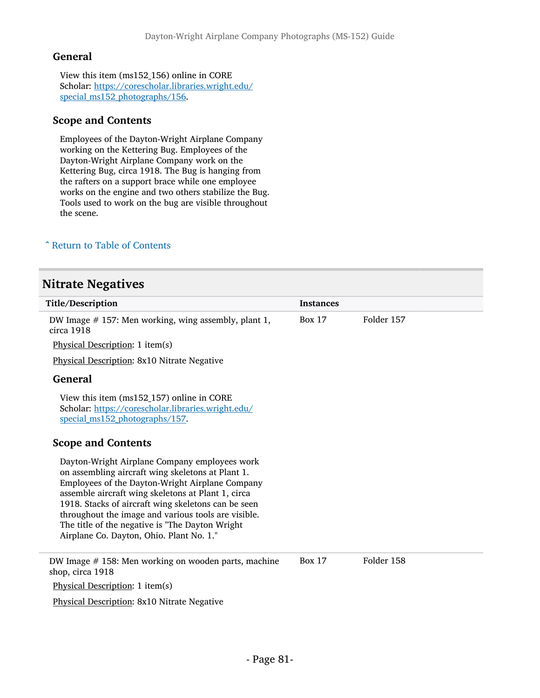View this item (ms152\_156) online in CORE Scholar: [https://corescholar.libraries.wright.edu/](https://corescholar.libraries.wright.edu/special_ms152_photographs/156) [special\\_ms152\\_photographs/156](https://corescholar.libraries.wright.edu/special_ms152_photographs/156).

## Scope and Contents

Employees of the Dayton-Wright Airplane Company working on the Kettering Bug. Employees of the Dayton-Wright Airplane Company work on the Kettering Bug, circa 1918. The Bug is hanging from the rafters on a support brace while one employee works on the engine and two others stabilize the Bug. Tools used to work on the bug are visible throughout the scene.

# ^ [Return to Table of Contents](#page-1-0)

# Nitrate Negatives

| <b>Title/Description</b>                                                                                                                                                                                                                                                                                                                                                                                                 | <b>Instances</b> |            |
|--------------------------------------------------------------------------------------------------------------------------------------------------------------------------------------------------------------------------------------------------------------------------------------------------------------------------------------------------------------------------------------------------------------------------|------------------|------------|
| DW Image $#$ 157: Men working, wing assembly, plant 1,<br>circa 1918                                                                                                                                                                                                                                                                                                                                                     | <b>Box 17</b>    | Folder 157 |
| Physical Description: 1 item(s)                                                                                                                                                                                                                                                                                                                                                                                          |                  |            |
| Physical Description: 8x10 Nitrate Negative                                                                                                                                                                                                                                                                                                                                                                              |                  |            |
| <b>General</b>                                                                                                                                                                                                                                                                                                                                                                                                           |                  |            |
| View this item (ms152_157) online in CORE<br>Scholar: https://corescholar.libraries.wright.edu/<br>special_ms152_photographs/157.                                                                                                                                                                                                                                                                                        |                  |            |
| <b>Scope and Contents</b>                                                                                                                                                                                                                                                                                                                                                                                                |                  |            |
| Dayton-Wright Airplane Company employees work<br>on assembling aircraft wing skeletons at Plant 1.<br>Employees of the Dayton-Wright Airplane Company<br>assemble aircraft wing skeletons at Plant 1, circa<br>1918. Stacks of aircraft wing skeletons can be seen<br>throughout the image and various tools are visible.<br>The title of the negative is "The Dayton Wright<br>Airplane Co. Dayton, Ohio. Plant No. 1." |                  |            |
| DW Image $#$ 158: Men working on wooden parts, machine<br>shop, circa 1918                                                                                                                                                                                                                                                                                                                                               | <b>Box 17</b>    | Folder 158 |
| Physical Description: 1 item(s)                                                                                                                                                                                                                                                                                                                                                                                          |                  |            |
| Physical Description: 8x10 Nitrate Negative                                                                                                                                                                                                                                                                                                                                                                              |                  |            |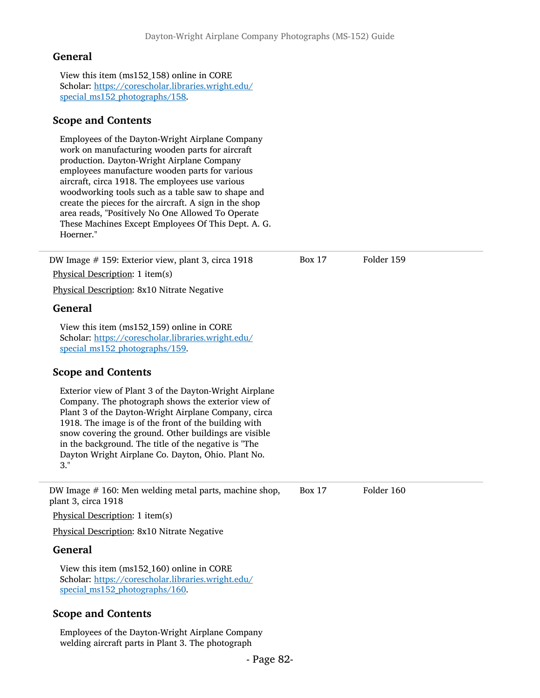View this item (ms152\_158) online in CORE Scholar: [https://corescholar.libraries.wright.edu/](https://corescholar.libraries.wright.edu/special_ms152_photographs/158) [special\\_ms152\\_photographs/158](https://corescholar.libraries.wright.edu/special_ms152_photographs/158).

## Scope and Contents

Employees of the Dayton-Wright Airplane Company work on manufacturing wooden parts for aircraft production. Dayton-Wright Airplane Company employees manufacture wooden parts for various aircraft, circa 1918. The employees use various woodworking tools such as a table saw to shape and create the pieces for the aircraft. A sign in the shop area reads, "Positively No One Allowed To Operate These Machines Except Employees Of This Dept. A. G. Hoerner."

DW Image # 159: Exterior view, plant 3, circa 1918 Physical Description: 1 item(s) Box 17 Folder 159 Physical Description: 8x10 Nitrate Negative General View this item (ms152\_159) online in CORE Scholar: [https://corescholar.libraries.wright.edu/](https://corescholar.libraries.wright.edu/special_ms152_photographs/159) [special\\_ms152\\_photographs/159](https://corescholar.libraries.wright.edu/special_ms152_photographs/159). Scope and Contents Exterior view of Plant 3 of the Dayton-Wright Airplane Company. The photograph shows the exterior view of Plant 3 of the Dayton-Wright Airplane Company, circa 1918. The image is of the front of the building with snow covering the ground. Other buildings are visible in the background. The title of the negative is "The Dayton Wright Airplane Co. Dayton, Ohio. Plant No. 3." DW Image # 160: Men welding metal parts, machine shop, plant 3, circa 1918 Physical Description: 1 item(s) Box 17 Folder 160 Physical Description: 8x10 Nitrate Negative General View this item (ms152\_160) online in CORE Scholar: [https://corescholar.libraries.wright.edu/](https://corescholar.libraries.wright.edu/special_ms152_photographs/160) [special\\_ms152\\_photographs/160](https://corescholar.libraries.wright.edu/special_ms152_photographs/160). Scope and Contents

Employees of the Dayton-Wright Airplane Company welding aircraft parts in Plant 3. The photograph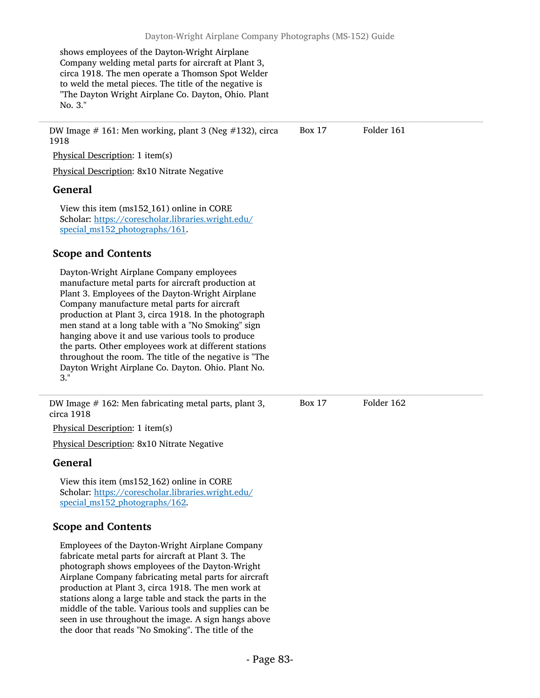shows employees of the Dayton-Wright Airplane Company welding metal parts for aircraft at Plant 3, circa 1918. The men operate a Thomson Spot Welder to weld the metal pieces. The title of the negative is "The Dayton Wright Airplane Co. Dayton, Ohio. Plant No. 3."

DW Image # 161: Men working, plant 3 (Neg #132), circa 1918 Box 17 Folder 161

Physical Description: 1 item(s)

Physical Description: 8x10 Nitrate Negative

## General

View this item (ms152\_161) online in CORE Scholar: [https://corescholar.libraries.wright.edu/](https://corescholar.libraries.wright.edu/special_ms152_photographs/161) special ms152 photographs/161.

# Scope and Contents

Dayton-Wright Airplane Company employees manufacture metal parts for aircraft production at Plant 3. Employees of the Dayton-Wright Airplane Company manufacture metal parts for aircraft production at Plant 3, circa 1918. In the photograph men stand at a long table with a "No Smoking" sign hanging above it and use various tools to produce the parts. Other employees work at different stations throughout the room. The title of the negative is "The Dayton Wright Airplane Co. Dayton. Ohio. Plant No. 3."

DW Image # 162: Men fabricating metal parts, plant 3, circa 1918

Physical Description: 1 item(s)

Physical Description: 8x10 Nitrate Negative

# General

View this item (ms152\_162) online in CORE Scholar: [https://corescholar.libraries.wright.edu/](https://corescholar.libraries.wright.edu/special_ms152_photographs/162) [special\\_ms152\\_photographs/162](https://corescholar.libraries.wright.edu/special_ms152_photographs/162).

# Scope and Contents

Employees of the Dayton-Wright Airplane Company fabricate metal parts for aircraft at Plant 3. The photograph shows employees of the Dayton-Wright Airplane Company fabricating metal parts for aircraft production at Plant 3, circa 1918. The men work at stations along a large table and stack the parts in the middle of the table. Various tools and supplies can be seen in use throughout the image. A sign hangs above the door that reads "No Smoking". The title of the

Box 17 Folder 162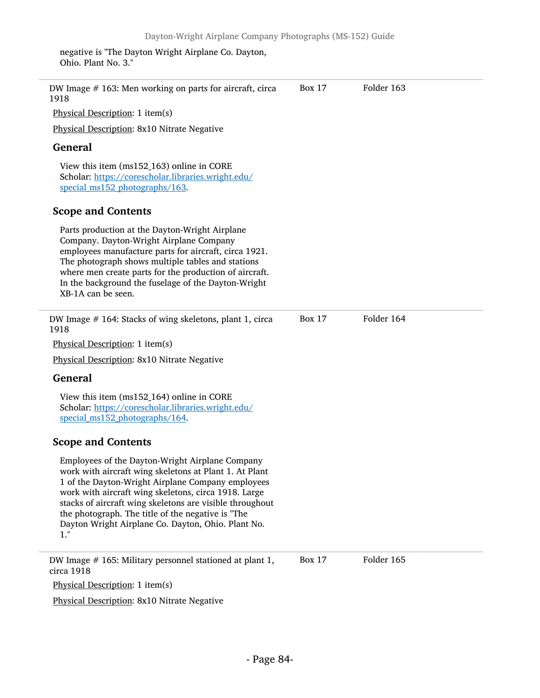negative is "The Dayton Wright Airplane Co. Dayton, Ohio. Plant No. 3."

| DW Image $#$ 163: Men working on parts for aircraft, circa<br>1918                                                                                                                                                                                                                                                                                                                                      | <b>Box 17</b> | Folder 163 |  |
|---------------------------------------------------------------------------------------------------------------------------------------------------------------------------------------------------------------------------------------------------------------------------------------------------------------------------------------------------------------------------------------------------------|---------------|------------|--|
| Physical Description: 1 item(s)                                                                                                                                                                                                                                                                                                                                                                         |               |            |  |
| Physical Description: 8x10 Nitrate Negative                                                                                                                                                                                                                                                                                                                                                             |               |            |  |
| <b>General</b>                                                                                                                                                                                                                                                                                                                                                                                          |               |            |  |
| View this item (ms152_163) online in CORE<br>Scholar: https://corescholar.libraries.wright.edu/<br>special_ms152_photographs/163.                                                                                                                                                                                                                                                                       |               |            |  |
| <b>Scope and Contents</b>                                                                                                                                                                                                                                                                                                                                                                               |               |            |  |
| Parts production at the Dayton-Wright Airplane<br>Company. Dayton-Wright Airplane Company<br>employees manufacture parts for aircraft, circa 1921.<br>The photograph shows multiple tables and stations<br>where men create parts for the production of aircraft.<br>In the background the fuselage of the Dayton-Wright<br>XB-1A can be seen.                                                          |               |            |  |
| DW Image #164: Stacks of wing skeletons, plant 1, circa<br>1918                                                                                                                                                                                                                                                                                                                                         | <b>Box 17</b> | Folder 164 |  |
| Physical Description: 1 item(s)                                                                                                                                                                                                                                                                                                                                                                         |               |            |  |
| <b>Physical Description: 8x10 Nitrate Negative</b>                                                                                                                                                                                                                                                                                                                                                      |               |            |  |
| <b>General</b>                                                                                                                                                                                                                                                                                                                                                                                          |               |            |  |
| View this item (ms152_164) online in CORE<br>Scholar: https://corescholar.libraries.wright.edu/<br>special_ms152_photographs/164.                                                                                                                                                                                                                                                                       |               |            |  |
| <b>Scope and Contents</b>                                                                                                                                                                                                                                                                                                                                                                               |               |            |  |
| Employees of the Dayton-Wright Airplane Company<br>work with aircraft wing skeletons at Plant 1. At Plant<br>1 of the Dayton-Wright Airplane Company employees<br>work with aircraft wing skeletons, circa 1918. Large<br>stacks of aircraft wing skeletons are visible throughout<br>the photograph. The title of the negative is "The<br>Dayton Wright Airplane Co. Dayton, Ohio. Plant No.<br>$1.$ " |               |            |  |
| DW Image $#$ 165: Military personnel stationed at plant 1,<br>circa 1918                                                                                                                                                                                                                                                                                                                                | <b>Box 17</b> | Folder 165 |  |
| Physical Description: 1 item(s)                                                                                                                                                                                                                                                                                                                                                                         |               |            |  |
| Physical Description: 8x10 Nitrate Negative                                                                                                                                                                                                                                                                                                                                                             |               |            |  |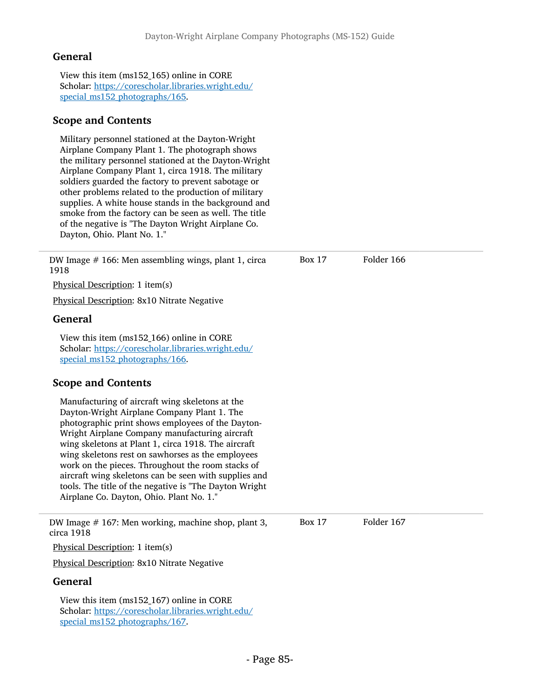View this item (ms152\_165) online in CORE Scholar: [https://corescholar.libraries.wright.edu/](https://corescholar.libraries.wright.edu/special_ms152_photographs/165) [special\\_ms152\\_photographs/165](https://corescholar.libraries.wright.edu/special_ms152_photographs/165).

## Scope and Contents

Military personnel stationed at the Dayton-Wright Airplane Company Plant 1. The photograph shows the military personnel stationed at the Dayton-Wright Airplane Company Plant 1, circa 1918. The military soldiers guarded the factory to prevent sabotage or other problems related to the production of military supplies. A white house stands in the background and smoke from the factory can be seen as well. The title of the negative is "The Dayton Wright Airplane Co. Dayton, Ohio. Plant No. 1."

DW Image # 166: Men assembling wings, plant 1, circa 1918 Box 17 Folder 166 Physical Description: 1 item(s) Physical Description: 8x10 Nitrate Negative General View this item (ms152\_166) online in CORE Scholar: [https://corescholar.libraries.wright.edu/](https://corescholar.libraries.wright.edu/special_ms152_photographs/166) [special\\_ms152\\_photographs/166](https://corescholar.libraries.wright.edu/special_ms152_photographs/166). Scope and Contents Manufacturing of aircraft wing skeletons at the Dayton-Wright Airplane Company Plant 1. The photographic print shows employees of the Dayton-Wright Airplane Company manufacturing aircraft wing skeletons at Plant 1, circa 1918. The aircraft wing skeletons rest on sawhorses as the employees work on the pieces. Throughout the room stacks of aircraft wing skeletons can be seen with supplies and tools. The title of the negative is "The Dayton Wright Airplane Co. Dayton, Ohio. Plant No. 1." DW Image # 167: Men working, machine shop, plant 3, circa 1918 Box 17 Folder 167 Physical Description: 1 item(s) Physical Description: 8x10 Nitrate Negative General View this item (ms152\_167) online in CORE Scholar: [https://corescholar.libraries.wright.edu/](https://corescholar.libraries.wright.edu/special_ms152_photographs/167) special ms152 photographs/167.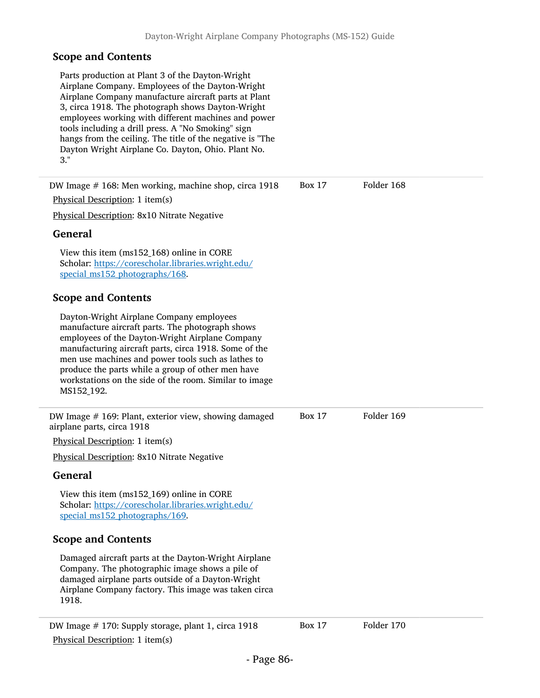Physical Description: 1 item(s)

Parts production at Plant 3 of the Dayton-Wright Airplane Company. Employees of the Dayton-Wright Airplane Company manufacture aircraft parts at Plant 3, circa 1918. The photograph shows Dayton-Wright employees working with different machines and power tools including a drill press. A "No Smoking" sign hangs from the ceiling. The title of the negative is "The Dayton Wright Airplane Co. Dayton, Ohio. Plant No. 3."

DW Image # 168: Men working, machine shop, circa 1918 Physical Description: 1 item(s) Physical Description: 8x10 Nitrate Negative General View this item (ms152\_168) online in CORE Scholar: [https://corescholar.libraries.wright.edu/](https://corescholar.libraries.wright.edu/special_ms152_photographs/168) special ms152 photographs/168. Scope and Contents Dayton-Wright Airplane Company employees manufacture aircraft parts. The photograph shows employees of the Dayton-Wright Airplane Company manufacturing aircraft parts, circa 1918. Some of the men use machines and power tools such as lathes to produce the parts while a group of other men have workstations on the side of the room. Similar to image MS152\_192. Box 17 Folder 168 DW Image # 169: Plant, exterior view, showing damaged airplane parts, circa 1918 Physical Description: 1 item(s) Physical Description: 8x10 Nitrate Negative General View this item (ms152\_169) online in CORE Scholar: [https://corescholar.libraries.wright.edu/](https://corescholar.libraries.wright.edu/special_ms152_photographs/169) special ms152 photographs/169. Scope and Contents Damaged aircraft parts at the Dayton-Wright Airplane Company. The photographic image shows a pile of damaged airplane parts outside of a Dayton-Wright Airplane Company factory. This image was taken circa 1918. Box 17 Folder 169 DW Image # 170: Supply storage, plant 1, circa 1918 Box 17 Folder 170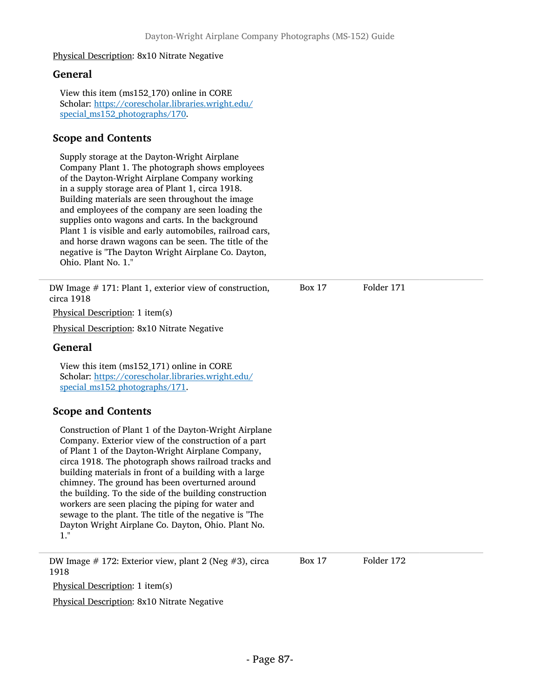#### Physical Description: 8x10 Nitrate Negative

#### General

View this item (ms152\_170) online in CORE Scholar: [https://corescholar.libraries.wright.edu/](https://corescholar.libraries.wright.edu/special_ms152_photographs/170) special ms152 photographs/170.

### Scope and Contents

Supply storage at the Dayton-Wright Airplane Company Plant 1. The photograph shows employees of the Dayton-Wright Airplane Company working in a supply storage area of Plant 1, circa 1918. Building materials are seen throughout the image and employees of the company are seen loading the supplies onto wagons and carts. In the background Plant 1 is visible and early automobiles, railroad cars, and horse drawn wagons can be seen. The title of the negative is "The Dayton Wright Airplane Co. Dayton, Ohio. Plant No. 1."

DW Image # 171: Plant 1, exterior view of construction, circa 1918

Physical Description: 1 item(s)

Physical Description: 8x10 Nitrate Negative

#### General

View this item (ms152\_171) online in CORE Scholar: [https://corescholar.libraries.wright.edu/](https://corescholar.libraries.wright.edu/special_ms152_photographs/171) special ms152 photographs/171.

### Scope and Contents

Construction of Plant 1 of the Dayton-Wright Airplane Company. Exterior view of the construction of a part of Plant 1 of the Dayton-Wright Airplane Company, circa 1918. The photograph shows railroad tracks and building materials in front of a building with a large chimney. The ground has been overturned around the building. To the side of the building construction workers are seen placing the piping for water and sewage to the plant. The title of the negative is "The Dayton Wright Airplane Co. Dayton, Ohio. Plant No. 1."

DW Image # 172: Exterior view, plant 2 (Neg #3), circa 1918 Box 17 Folder 172

Physical Description: 1 item(s)

Physical Description: 8x10 Nitrate Negative

Box 17 Folder 171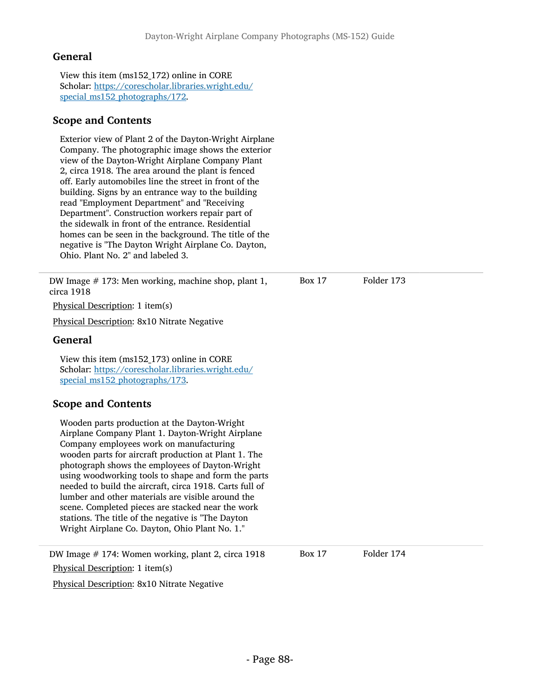View this item (ms152\_172) online in CORE Scholar: [https://corescholar.libraries.wright.edu/](https://corescholar.libraries.wright.edu/special_ms152_photographs/172) [special\\_ms152\\_photographs/172](https://corescholar.libraries.wright.edu/special_ms152_photographs/172).

# Scope and Contents

Exterior view of Plant 2 of the Dayton-Wright Airplane Company. The photographic image shows the exterior view of the Dayton-Wright Airplane Company Plant 2, circa 1918. The area around the plant is fenced off. Early automobiles line the street in front of the building. Signs by an entrance way to the building read "Employment Department" and "Receiving Department". Construction workers repair part of the sidewalk in front of the entrance. Residential homes can be seen in the background. The title of the negative is "The Dayton Wright Airplane Co. Dayton, Ohio. Plant No. 2" and labeled 3.

DW Image # 173: Men working, machine shop, plant 1, circa 1918

Physical Description: 1 item(s)

Physical Description: 8x10 Nitrate Negative

## General

View this item (ms152\_173) online in CORE Scholar: [https://corescholar.libraries.wright.edu/](https://corescholar.libraries.wright.edu/special_ms152_photographs/173) [special\\_ms152\\_photographs/173](https://corescholar.libraries.wright.edu/special_ms152_photographs/173).

# Scope and Contents

Wooden parts production at the Dayton-Wright Airplane Company Plant 1. Dayton-Wright Airplane Company employees work on manufacturing wooden parts for aircraft production at Plant 1. The photograph shows the employees of Dayton-Wright using woodworking tools to shape and form the parts needed to build the aircraft, circa 1918. Carts full of lumber and other materials are visible around the scene. Completed pieces are stacked near the work stations. The title of the negative is "The Dayton Wright Airplane Co. Dayton, Ohio Plant No. 1."

DW Image # 174: Women working, plant 2, circa 1918 Box 17 Folder 174 Physical Description: 1 item(s) Physical Description: 8x10 Nitrate Negative

Box 17 Folder 173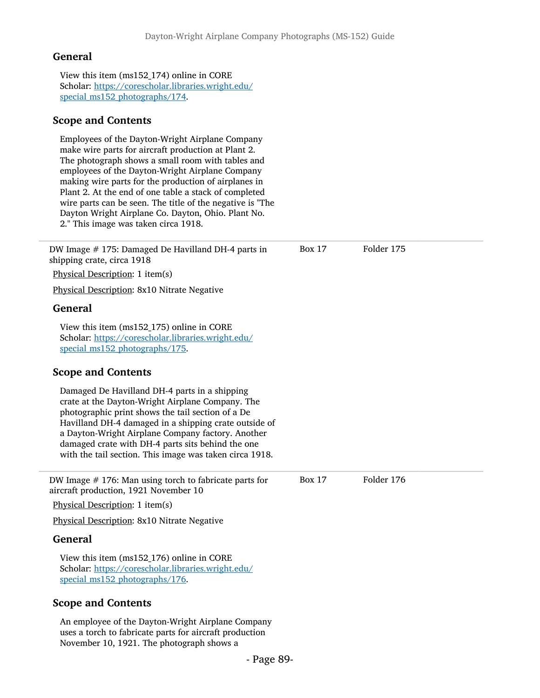View this item (ms152\_174) online in CORE Scholar: [https://corescholar.libraries.wright.edu/](https://corescholar.libraries.wright.edu/special_ms152_photographs/174) [special\\_ms152\\_photographs/174](https://corescholar.libraries.wright.edu/special_ms152_photographs/174).

### Scope and Contents

Employees of the Dayton-Wright Airplane Company make wire parts for aircraft production at Plant 2. The photograph shows a small room with tables and employees of the Dayton-Wright Airplane Company making wire parts for the production of airplanes in Plant 2. At the end of one table a stack of completed wire parts can be seen. The title of the negative is "The Dayton Wright Airplane Co. Dayton, Ohio. Plant No. 2." This image was taken circa 1918.

| DW Image # 175: Damaged De Havilland DH-4 parts in<br>shipping crate, circa 1918                                                                                                                                                                                                                                                                                                     | <b>Box 17</b> | Folder 175 |  |
|--------------------------------------------------------------------------------------------------------------------------------------------------------------------------------------------------------------------------------------------------------------------------------------------------------------------------------------------------------------------------------------|---------------|------------|--|
| Physical Description: 1 item(s)                                                                                                                                                                                                                                                                                                                                                      |               |            |  |
| Physical Description: 8x10 Nitrate Negative                                                                                                                                                                                                                                                                                                                                          |               |            |  |
| <b>General</b>                                                                                                                                                                                                                                                                                                                                                                       |               |            |  |
| View this item (ms152_175) online in CORE<br>Scholar: https://corescholar.libraries.wright.edu/<br>special_ms152_photographs/175.                                                                                                                                                                                                                                                    |               |            |  |
| <b>Scope and Contents</b>                                                                                                                                                                                                                                                                                                                                                            |               |            |  |
| Damaged De Havilland DH-4 parts in a shipping<br>crate at the Dayton-Wright Airplane Company. The<br>photographic print shows the tail section of a De<br>Havilland DH-4 damaged in a shipping crate outside of<br>a Dayton-Wright Airplane Company factory. Another<br>damaged crate with DH-4 parts sits behind the one<br>with the tail section. This image was taken circa 1918. |               |            |  |
| DW Image $#$ 176: Man using torch to fabricate parts for<br>aircraft production, 1921 November 10                                                                                                                                                                                                                                                                                    | <b>Box 17</b> | Folder 176 |  |
| Physical Description: 1 item(s)                                                                                                                                                                                                                                                                                                                                                      |               |            |  |
| Physical Description: 8x10 Nitrate Negative                                                                                                                                                                                                                                                                                                                                          |               |            |  |
| General                                                                                                                                                                                                                                                                                                                                                                              |               |            |  |
| View this item (ms152_176) online in CORE<br>Scholar: https://corescholar.libraries.wright.edu/<br>special_ms152_photographs/176.                                                                                                                                                                                                                                                    |               |            |  |
| <b>Scope and Contents</b>                                                                                                                                                                                                                                                                                                                                                            |               |            |  |
| An employee of the Dayton-Wright Airplane Company<br>uses a torch to fabricate parts for aircraft production<br>November 10, 1921. The photograph shows a                                                                                                                                                                                                                            |               |            |  |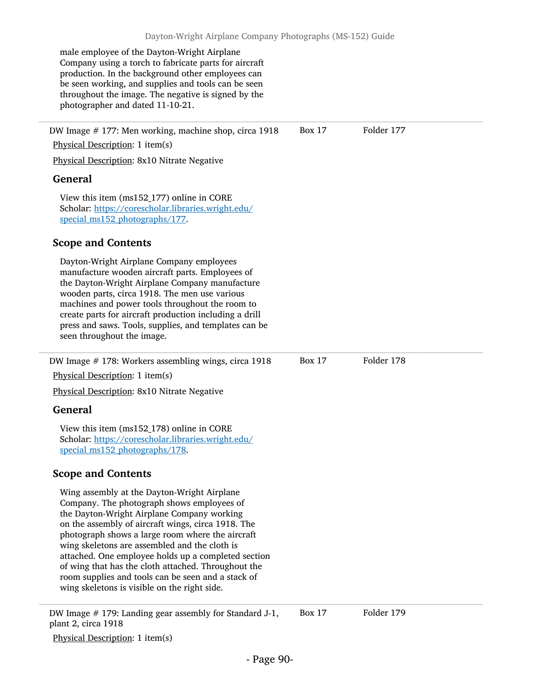male employee of the Dayton-Wright Airplane Company using a torch to fabricate parts for aircraft production. In the background other employees can be seen working, and supplies and tools can be seen throughout the image. The negative is signed by the photographer and dated 11-10-21. DW Image # 177: Men working, machine shop, circa 1918 Physical Description: 1 item(s) Physical Description: 8x10 Nitrate Negative General View this item (ms152\_177) online in CORE Scholar: [https://corescholar.libraries.wright.edu/](https://corescholar.libraries.wright.edu/special_ms152_photographs/177) special ms152 photographs/177. Scope and Contents Dayton-Wright Airplane Company employees manufacture wooden aircraft parts. Employees of the Dayton-Wright Airplane Company manufacture wooden parts, circa 1918. The men use various machines and power tools throughout the room to create parts for aircraft production including a drill press and saws. Tools, supplies, and templates can be seen throughout the image. Box 17 Folder 177 DW Image # 178: Workers assembling wings, circa 1918 Physical Description: 1 item(s) Physical Description: 8x10 Nitrate Negative General View this item (ms152\_178) online in CORE Scholar: [https://corescholar.libraries.wright.edu/](https://corescholar.libraries.wright.edu/special_ms152_photographs/178) [special\\_ms152\\_photographs/178](https://corescholar.libraries.wright.edu/special_ms152_photographs/178). Scope and Contents Wing assembly at the Dayton-Wright Airplane Company. The photograph shows employees of the Dayton-Wright Airplane Company working on the assembly of aircraft wings, circa 1918. The photograph shows a large room where the aircraft wing skeletons are assembled and the cloth is attached. One employee holds up a completed section of wing that has the cloth attached. Throughout the room supplies and tools can be seen and a stack of wing skeletons is visible on the right side. Box 17 Folder 178

DW Image # 179: Landing gear assembly for Standard J-1, plant 2, circa 1918 Box 17 Folder 179

Physical Description: 1 item(s)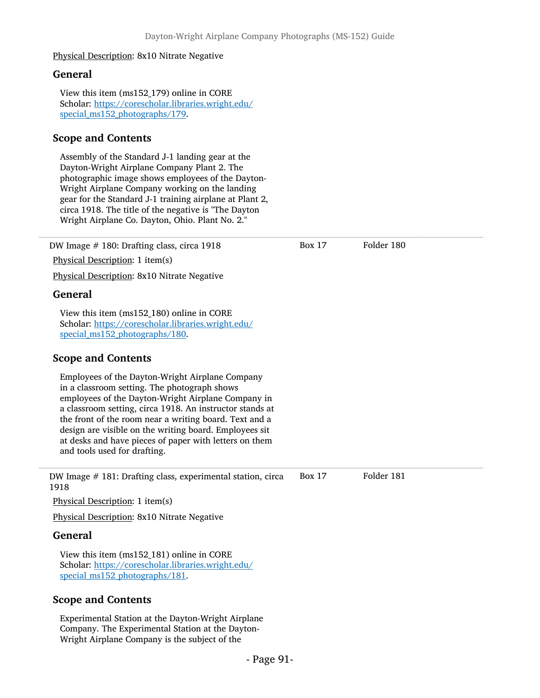#### Physical Description: 8x10 Nitrate Negative

#### General

View this item (ms152\_179) online in CORE Scholar: [https://corescholar.libraries.wright.edu/](https://corescholar.libraries.wright.edu/special_ms152_photographs/179) special ms152 photographs/179.

# Scope and Contents

Assembly of the Standard J-1 landing gear at the Dayton-Wright Airplane Company Plant 2. The photographic image shows employees of the Dayton-Wright Airplane Company working on the landing gear for the Standard J-1 training airplane at Plant 2, circa 1918. The title of the negative is "The Dayton Wright Airplane Co. Dayton, Ohio. Plant No. 2."

| DW Image # 180: Drafting class, circa 1918                                                                                                                                                                                                                                                                                                                                                                                      | <b>Box 17</b> | Folder 180 |
|---------------------------------------------------------------------------------------------------------------------------------------------------------------------------------------------------------------------------------------------------------------------------------------------------------------------------------------------------------------------------------------------------------------------------------|---------------|------------|
| Physical Description: 1 item(s)                                                                                                                                                                                                                                                                                                                                                                                                 |               |            |
| Physical Description: 8x10 Nitrate Negative                                                                                                                                                                                                                                                                                                                                                                                     |               |            |
| <b>General</b>                                                                                                                                                                                                                                                                                                                                                                                                                  |               |            |
| View this item (ms152_180) online in CORE<br>Scholar: https://corescholar.libraries.wright.edu/<br>special_ms152_photographs/180.                                                                                                                                                                                                                                                                                               |               |            |
| <b>Scope and Contents</b>                                                                                                                                                                                                                                                                                                                                                                                                       |               |            |
| Employees of the Dayton-Wright Airplane Company<br>in a classroom setting. The photograph shows<br>employees of the Dayton-Wright Airplane Company in<br>a classroom setting, circa 1918. An instructor stands at<br>the front of the room near a writing board. Text and a<br>design are visible on the writing board. Employees sit<br>at desks and have pieces of paper with letters on them<br>and tools used for drafting. |               |            |
| DW Image # 181: Drafting class, experimental station, circa<br>1918                                                                                                                                                                                                                                                                                                                                                             | <b>Box 17</b> | Folder 181 |
| Physical Description: 1 item(s)                                                                                                                                                                                                                                                                                                                                                                                                 |               |            |
| Physical Description: 8x10 Nitrate Negative                                                                                                                                                                                                                                                                                                                                                                                     |               |            |
| <b>General</b>                                                                                                                                                                                                                                                                                                                                                                                                                  |               |            |
| View this item (ms152_181) online in CORE<br>Scholar: https://corescholar.libraries.wright.edu/<br>special_ms152_photographs/181.                                                                                                                                                                                                                                                                                               |               |            |
| <b>Scope and Contents</b>                                                                                                                                                                                                                                                                                                                                                                                                       |               |            |
| Experimental Ctation at the Douton Wright Aimland                                                                                                                                                                                                                                                                                                                                                                               |               |            |

Experimental Station at the Dayton-Wright Airplane Company. The Experimental Station at the Dayton-Wright Airplane Company is the subject of the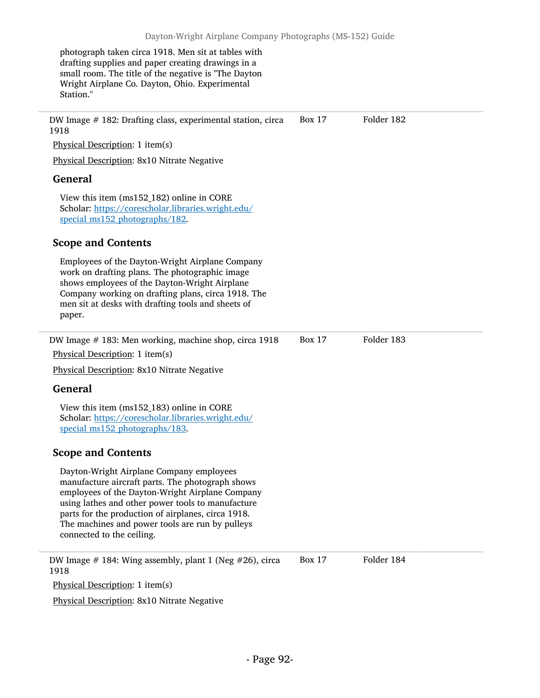photograph taken circa 1918. Men sit at tables with drafting supplies and paper creating drawings in a small room. The title of the negative is "The Dayton Wright Airplane Co. Dayton, Ohio. Experimental Station."

DW Image # 182: Drafting class, experimental station, circa 1918 Physical Description: 1 item(s) Physical Description: 8x10 Nitrate Negative General View this item (ms152\_182) online in CORE Scholar: [https://corescholar.libraries.wright.edu/](https://corescholar.libraries.wright.edu/special_ms152_photographs/182) special ms152 photographs/182. Scope and Contents Employees of the Dayton-Wright Airplane Company work on drafting plans. The photographic image shows employees of the Dayton-Wright Airplane Company working on drafting plans, circa 1918. The men sit at desks with drafting tools and sheets of paper. Box 17 Folder 182 DW Image # 183: Men working, machine shop, circa 1918 Physical Description: 1 item(s) Physical Description: 8x10 Nitrate Negative General View this item (ms152\_183) online in CORE Scholar: [https://corescholar.libraries.wright.edu/](https://corescholar.libraries.wright.edu/special_ms152_photographs/183) [special\\_ms152\\_photographs/183](https://corescholar.libraries.wright.edu/special_ms152_photographs/183). Scope and Contents Dayton-Wright Airplane Company employees manufacture aircraft parts. The photograph shows employees of the Dayton-Wright Airplane Company using lathes and other power tools to manufacture parts for the production of airplanes, circa 1918. The machines and power tools are run by pulleys connected to the ceiling. Box 17 Folder 183 DW Image  $\#$  184: Wing assembly, plant 1 (Neg  $\#26$ ), circa 1918 Physical Description: 1 item(s) Physical Description: 8x10 Nitrate Negative Box 17 Folder 184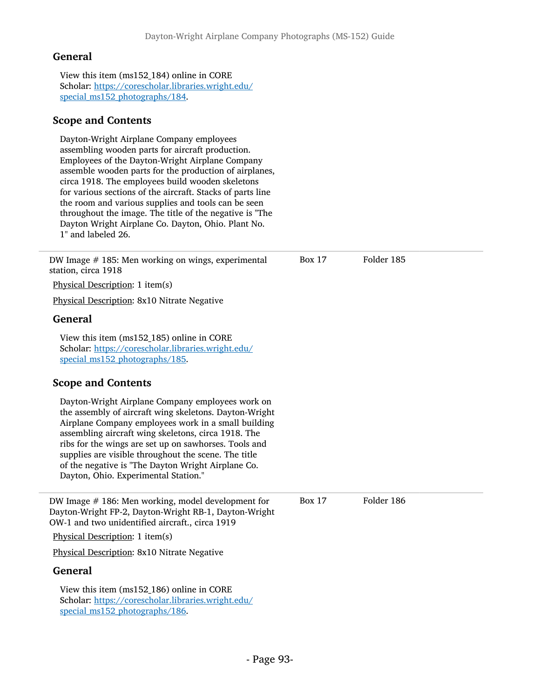View this item (ms152\_184) online in CORE Scholar: [https://corescholar.libraries.wright.edu/](https://corescholar.libraries.wright.edu/special_ms152_photographs/184) [special\\_ms152\\_photographs/184](https://corescholar.libraries.wright.edu/special_ms152_photographs/184).

## Scope and Contents

Dayton-Wright Airplane Company employees assembling wooden parts for aircraft production. Employees of the Dayton-Wright Airplane Company assemble wooden parts for the production of airplanes, circa 1918. The employees build wooden skeletons for various sections of the aircraft. Stacks of parts line the room and various supplies and tools can be seen throughout the image. The title of the negative is "The Dayton Wright Airplane Co. Dayton, Ohio. Plant No. 1" and labeled 26.

| DW Image $#$ 185: Men working on wings, experimental<br>station, circa 1918                                                                                                                                                                                                                                                                                                                                                             | <b>Box 17</b> | Folder 185 |
|-----------------------------------------------------------------------------------------------------------------------------------------------------------------------------------------------------------------------------------------------------------------------------------------------------------------------------------------------------------------------------------------------------------------------------------------|---------------|------------|
| Physical Description: 1 item(s)                                                                                                                                                                                                                                                                                                                                                                                                         |               |            |
| Physical Description: 8x10 Nitrate Negative                                                                                                                                                                                                                                                                                                                                                                                             |               |            |
| <b>General</b>                                                                                                                                                                                                                                                                                                                                                                                                                          |               |            |
| View this item (ms152_185) online in CORE<br>Scholar: https://corescholar.libraries.wright.edu/<br>special_ms152_photographs/185.                                                                                                                                                                                                                                                                                                       |               |            |
| <b>Scope and Contents</b>                                                                                                                                                                                                                                                                                                                                                                                                               |               |            |
| Dayton-Wright Airplane Company employees work on<br>the assembly of aircraft wing skeletons. Dayton-Wright<br>Airplane Company employees work in a small building<br>assembling aircraft wing skeletons, circa 1918. The<br>ribs for the wings are set up on sawhorses. Tools and<br>supplies are visible throughout the scene. The title<br>of the negative is "The Dayton Wright Airplane Co.<br>Dayton, Ohio. Experimental Station." |               |            |
| DW Image $#$ 186: Men working, model development for<br>Dayton-Wright FP-2, Dayton-Wright RB-1, Dayton-Wright<br>OW-1 and two unidentified aircraft., circa 1919                                                                                                                                                                                                                                                                        | <b>Box 17</b> | Folder 186 |
| Physical Description: 1 item(s)                                                                                                                                                                                                                                                                                                                                                                                                         |               |            |
| Physical Description: 8x10 Nitrate Negative                                                                                                                                                                                                                                                                                                                                                                                             |               |            |
| <b>General</b>                                                                                                                                                                                                                                                                                                                                                                                                                          |               |            |
| View this item (ms152_186) online in CORE<br>Scholar: https://corescholar.libraries.wright.edu/<br>special_ms152_photographs/186.                                                                                                                                                                                                                                                                                                       |               |            |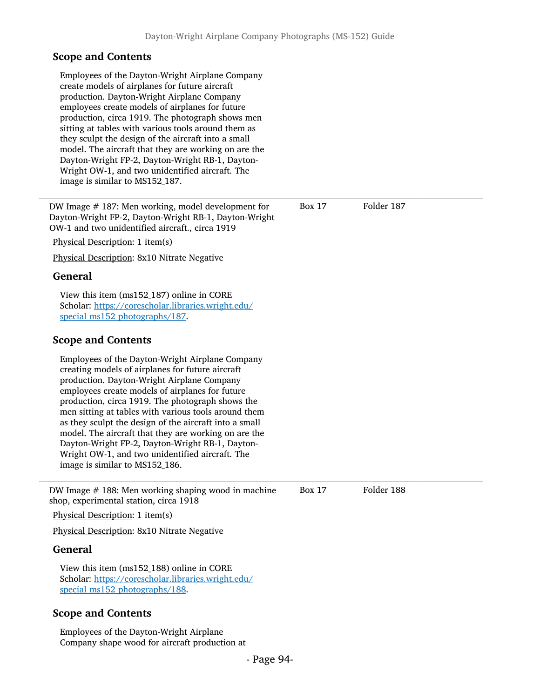| Employees of the Dayton-Wright Airplane Company<br>create models of airplanes for future aircraft<br>production. Dayton-Wright Airplane Company<br>employees create models of airplanes for future<br>production, circa 1919. The photograph shows men<br>sitting at tables with various tools around them as<br>they sculpt the design of the aircraft into a small<br>model. The aircraft that they are working on are the<br>Dayton-Wright FP-2, Dayton-Wright RB-1, Dayton-<br>Wright OW-1, and two unidentified aircraft. The<br>image is similar to MS152_187.       |               |            |  |
|----------------------------------------------------------------------------------------------------------------------------------------------------------------------------------------------------------------------------------------------------------------------------------------------------------------------------------------------------------------------------------------------------------------------------------------------------------------------------------------------------------------------------------------------------------------------------|---------------|------------|--|
| DW Image #187: Men working, model development for<br>Dayton-Wright FP-2, Dayton-Wright RB-1, Dayton-Wright<br>OW-1 and two unidentified aircraft., circa 1919                                                                                                                                                                                                                                                                                                                                                                                                              | <b>Box 17</b> | Folder 187 |  |
| Physical Description: 1 item(s)                                                                                                                                                                                                                                                                                                                                                                                                                                                                                                                                            |               |            |  |
| Physical Description: 8x10 Nitrate Negative                                                                                                                                                                                                                                                                                                                                                                                                                                                                                                                                |               |            |  |
| <b>General</b>                                                                                                                                                                                                                                                                                                                                                                                                                                                                                                                                                             |               |            |  |
| View this item (ms152_187) online in CORE<br>Scholar: https://corescholar.libraries.wright.edu/<br>special_ms152_photographs/187.                                                                                                                                                                                                                                                                                                                                                                                                                                          |               |            |  |
| <b>Scope and Contents</b>                                                                                                                                                                                                                                                                                                                                                                                                                                                                                                                                                  |               |            |  |
| Employees of the Dayton-Wright Airplane Company<br>creating models of airplanes for future aircraft<br>production. Dayton-Wright Airplane Company<br>employees create models of airplanes for future<br>production, circa 1919. The photograph shows the<br>men sitting at tables with various tools around them<br>as they sculpt the design of the aircraft into a small<br>model. The aircraft that they are working on are the<br>Dayton-Wright FP-2, Dayton-Wright RB-1, Dayton-<br>Wright OW-1, and two unidentified aircraft. The<br>image is similar to MS152_186. |               |            |  |
| DW Image # 188: Men working shaping wood in machine<br>shop, experimental station, circa 1918                                                                                                                                                                                                                                                                                                                                                                                                                                                                              | <b>Box 17</b> | Folder 188 |  |
| Physical Description: 1 item(s)                                                                                                                                                                                                                                                                                                                                                                                                                                                                                                                                            |               |            |  |
| Physical Description: 8x10 Nitrate Negative                                                                                                                                                                                                                                                                                                                                                                                                                                                                                                                                |               |            |  |
| <b>General</b>                                                                                                                                                                                                                                                                                                                                                                                                                                                                                                                                                             |               |            |  |
| View this item (ms152_188) online in CORE<br>Scholar: https://corescholar.libraries.wright.edu/                                                                                                                                                                                                                                                                                                                                                                                                                                                                            |               |            |  |

[special\\_ms152\\_photographs/188](https://corescholar.libraries.wright.edu/special_ms152_photographs/188).

# Scope and Contents

Employees of the Dayton-Wright Airplane Company shape wood for aircraft production at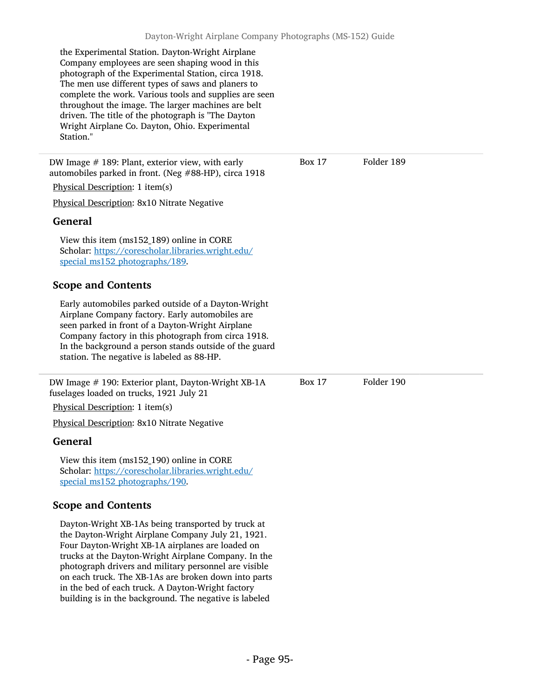the Experimental Station. Dayton-Wright Airplane Company employees are seen shaping wood in this photograph of the Experimental Station, circa 1918. The men use different types of saws and planers to complete the work. Various tools and supplies are seen throughout the image. The larger machines are belt driven. The title of the photograph is "The Dayton Wright Airplane Co. Dayton, Ohio. Experimental Station."

DW Image # 189: Plant, exterior view, with early automobiles parked in front. (Neg #88-HP), circa 1918

Physical Description: 1 item(s)

Physical Description: 8x10 Nitrate Negative

### General

View this item (ms152\_189) online in CORE Scholar: [https://corescholar.libraries.wright.edu/](https://corescholar.libraries.wright.edu/special_ms152_photographs/189) [special\\_ms152\\_photographs/189](https://corescholar.libraries.wright.edu/special_ms152_photographs/189).

# Scope and Contents

Early automobiles parked outside of a Dayton-Wright Airplane Company factory. Early automobiles are seen parked in front of a Dayton-Wright Airplane Company factory in this photograph from circa 1918. In the background a person stands outside of the guard station. The negative is labeled as 88-HP.

DW Image # 190: Exterior plant, Dayton-Wright XB-1A fuselages loaded on trucks, 1921 July 21

Physical Description: 1 item(s)

Physical Description: 8x10 Nitrate Negative

### General

View this item (ms152\_190) online in CORE Scholar: [https://corescholar.libraries.wright.edu/](https://corescholar.libraries.wright.edu/special_ms152_photographs/190) special ms152 photographs/190.

# Scope and Contents

Dayton-Wright XB-1As being transported by truck at the Dayton-Wright Airplane Company July 21, 1921. Four Dayton-Wright XB-1A airplanes are loaded on trucks at the Dayton-Wright Airplane Company. In the photograph drivers and military personnel are visible on each truck. The XB-1As are broken down into parts in the bed of each truck. A Dayton-Wright factory building is in the background. The negative is labeled

Box 17 Folder 189

Box 17 Folder 190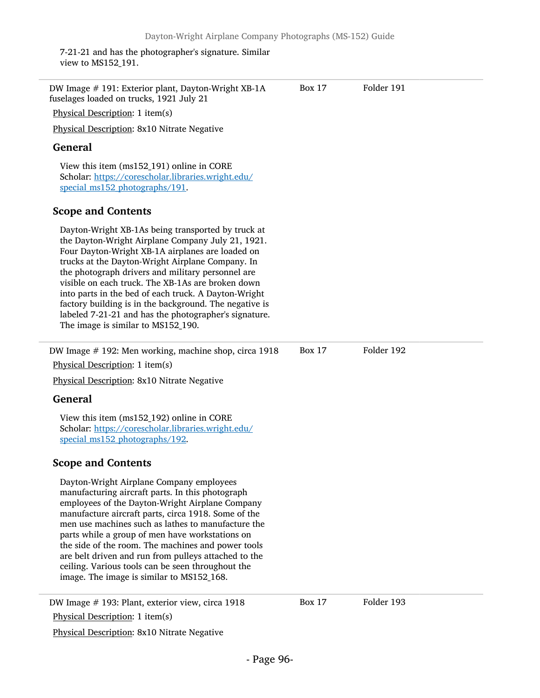7-21-21 and has the photographer's signature. Similar view to MS152\_191.

| DW Image # 191: Exterior plant, Dayton-Wright XB-1A<br>fuselages loaded on trucks, 1921 July 21                                                                                                                                                                                                                                                                                                                                                                                                                                            | <b>Box 17</b> | Folder 191 |
|--------------------------------------------------------------------------------------------------------------------------------------------------------------------------------------------------------------------------------------------------------------------------------------------------------------------------------------------------------------------------------------------------------------------------------------------------------------------------------------------------------------------------------------------|---------------|------------|
| Physical Description: 1 item(s)                                                                                                                                                                                                                                                                                                                                                                                                                                                                                                            |               |            |
| Physical Description: 8x10 Nitrate Negative                                                                                                                                                                                                                                                                                                                                                                                                                                                                                                |               |            |
| <b>General</b>                                                                                                                                                                                                                                                                                                                                                                                                                                                                                                                             |               |            |
| View this item (ms152_191) online in CORE<br>Scholar: https://corescholar.libraries.wright.edu/<br>special_ms152_photographs/191.                                                                                                                                                                                                                                                                                                                                                                                                          |               |            |
| <b>Scope and Contents</b>                                                                                                                                                                                                                                                                                                                                                                                                                                                                                                                  |               |            |
| Dayton-Wright XB-1As being transported by truck at<br>the Dayton-Wright Airplane Company July 21, 1921.<br>Four Dayton-Wright XB-1A airplanes are loaded on<br>trucks at the Dayton-Wright Airplane Company. In<br>the photograph drivers and military personnel are<br>visible on each truck. The XB-1As are broken down<br>into parts in the bed of each truck. A Dayton-Wright<br>factory building is in the background. The negative is<br>labeled 7-21-21 and has the photographer's signature.<br>The image is similar to MS152_190. |               |            |
| DW Image #192: Men working, machine shop, circa 1918                                                                                                                                                                                                                                                                                                                                                                                                                                                                                       | Box 17        | Folder 192 |
| Physical Description: 1 item(s)                                                                                                                                                                                                                                                                                                                                                                                                                                                                                                            |               |            |
| Physical Description: 8x10 Nitrate Negative                                                                                                                                                                                                                                                                                                                                                                                                                                                                                                |               |            |
| <b>General</b>                                                                                                                                                                                                                                                                                                                                                                                                                                                                                                                             |               |            |
| View this item (ms152_192) online in CORE<br>Scholar: https://corescholar.libraries.wright.edu/<br>special_ms152_photographs/192.                                                                                                                                                                                                                                                                                                                                                                                                          |               |            |
| <b>Scope and Contents</b>                                                                                                                                                                                                                                                                                                                                                                                                                                                                                                                  |               |            |
| Dayton-Wright Airplane Company employees<br>manufacturing aircraft parts. In this photograph<br>employees of the Dayton-Wright Airplane Company<br>manufacture aircraft parts, circa 1918. Some of the<br>men use machines such as lathes to manufacture the<br>parts while a group of men have workstations on<br>the side of the room. The machines and power tools<br>are belt driven and run from pulleys attached to the<br>ceiling. Various tools can be seen throughout the<br>image. The image is similar to MS152_168.            |               |            |
| DW Image # 193: Plant, exterior view, circa 1918<br>Physical Description: 1 item(s)                                                                                                                                                                                                                                                                                                                                                                                                                                                        | <b>Box 17</b> | Folder 193 |
|                                                                                                                                                                                                                                                                                                                                                                                                                                                                                                                                            |               |            |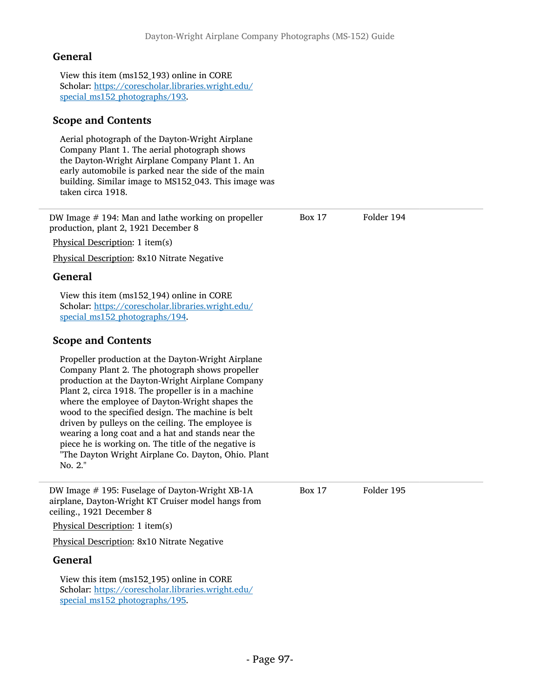View this item (ms152\_193) online in CORE Scholar: [https://corescholar.libraries.wright.edu/](https://corescholar.libraries.wright.edu/special_ms152_photographs/193) [special\\_ms152\\_photographs/193](https://corescholar.libraries.wright.edu/special_ms152_photographs/193).

## Scope and Contents

Aerial photograph of the Dayton-Wright Airplane Company Plant 1. The aerial photograph shows the Dayton-Wright Airplane Company Plant 1. An early automobile is parked near the side of the main building. Similar image to MS152\_043. This image was taken circa 1918.

DW Image # 194: Man and lathe working on propeller production, plant 2, 1921 December 8 Physical Description: 1 item(s) Physical Description: 8x10 Nitrate Negative General View this item (ms152\_194) online in CORE Scholar: [https://corescholar.libraries.wright.edu/](https://corescholar.libraries.wright.edu/special_ms152_photographs/194) [special\\_ms152\\_photographs/194](https://corescholar.libraries.wright.edu/special_ms152_photographs/194). Scope and Contents Propeller production at the Dayton-Wright Airplane Company Plant 2. The photograph shows propeller production at the Dayton-Wright Airplane Company Plant 2, circa 1918. The propeller is in a machine where the employee of Dayton-Wright shapes the wood to the specified design. The machine is belt driven by pulleys on the ceiling. The employee is wearing a long coat and a hat and stands near the piece he is working on. The title of the negative is "The Dayton Wright Airplane Co. Dayton, Ohio. Plant No. 2." Box 17 Folder 194 DW Image #195: Fuselage of Dayton-Wright XB-1A Box 17 Folder 195 airplane, Dayton-Wright KT Cruiser model hangs from ceiling., 1921 December 8 Physical Description: 1 item(s) Physical Description: 8x10 Nitrate Negative General View this item (ms152\_195) online in CORE Scholar: [https://corescholar.libraries.wright.edu/](https://corescholar.libraries.wright.edu/special_ms152_photographs/195) [special\\_ms152\\_photographs/195](https://corescholar.libraries.wright.edu/special_ms152_photographs/195).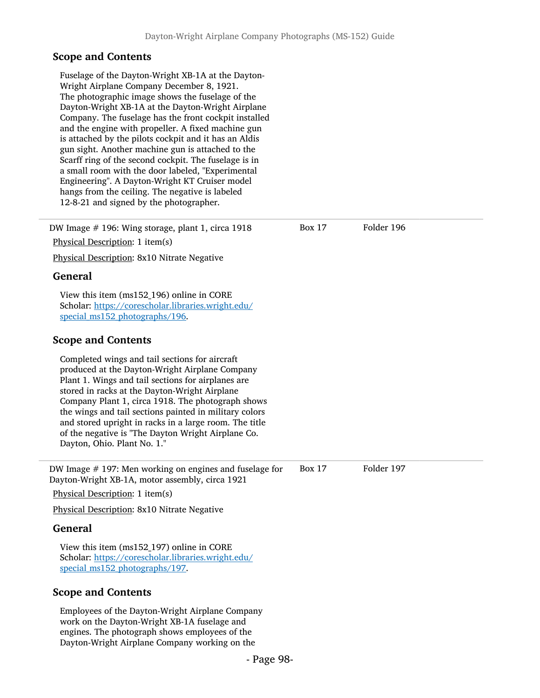Fuselage of the Dayton-Wright XB-1A at the Dayton-Wright Airplane Company December 8, 1921. The photographic image shows the fuselage of the Dayton-Wright XB-1A at the Dayton-Wright Airplane Company. The fuselage has the front cockpit installed and the engine with propeller. A fixed machine gun is attached by the pilots cockpit and it has an Aldis gun sight. Another machine gun is attached to the Scarff ring of the second cockpit. The fuselage is in a small room with the door labeled, "Experimental Engineering". A Dayton-Wright KT Cruiser model hangs from the ceiling. The negative is labeled 12-8-21 and signed by the photographer.

DW Image # 196: Wing storage, plant 1, circa 1918 Physical Description: 1 item(s) Box 17 Folder 196 Physical Description: 8x10 Nitrate Negative General View this item (ms152\_196) online in CORE Scholar: [https://corescholar.libraries.wright.edu/](https://corescholar.libraries.wright.edu/special_ms152_photographs/196) [special\\_ms152\\_photographs/196](https://corescholar.libraries.wright.edu/special_ms152_photographs/196). Scope and Contents Completed wings and tail sections for aircraft produced at the Dayton-Wright Airplane Company Plant 1. Wings and tail sections for airplanes are stored in racks at the Dayton-Wright Airplane Company Plant 1, circa 1918. The photograph shows the wings and tail sections painted in military colors and stored upright in racks in a large room. The title of the negative is "The Dayton Wright Airplane Co. Dayton, Ohio. Plant No. 1." DW Image # 197: Men working on engines and fuselage for Dayton-Wright XB-1A, motor assembly, circa 1921 Physical Description: 1 item(s) Box 17 Folder 197 Physical Description: 8x10 Nitrate Negative

### General

View this item (ms152\_197) online in CORE Scholar: [https://corescholar.libraries.wright.edu/](https://corescholar.libraries.wright.edu/special_ms152_photographs/197) special ms152 photographs/197.

### Scope and Contents

Employees of the Dayton-Wright Airplane Company work on the Dayton-Wright XB-1A fuselage and engines. The photograph shows employees of the Dayton-Wright Airplane Company working on the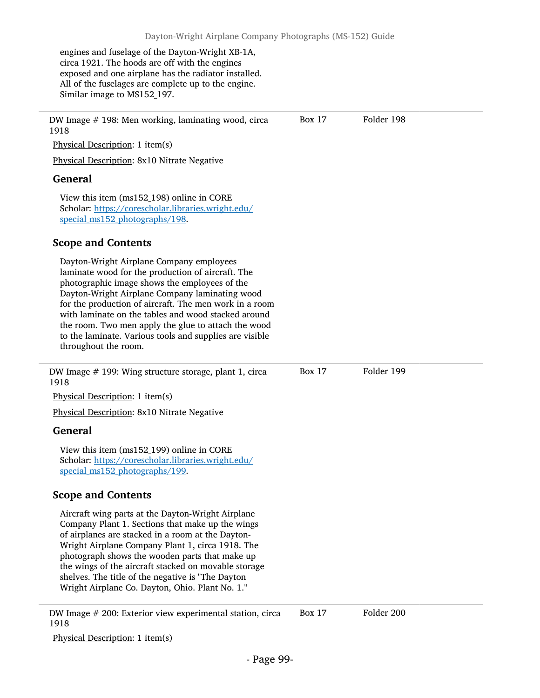engines and fuselage of the Dayton-Wright XB-1A, circa 1921. The hoods are off with the engines exposed and one airplane has the radiator installed. All of the fuselages are complete up to the engine. Similar image to MS152\_197.

DW Image # 198: Men working, laminating wood, circa 1918 Physical Description: 1 item(s) Physical Description: 8x10 Nitrate Negative General View this item (ms152\_198) online in CORE Scholar: [https://corescholar.libraries.wright.edu/](https://corescholar.libraries.wright.edu/special_ms152_photographs/198) special ms152 photographs/198. Scope and Contents Dayton-Wright Airplane Company employees laminate wood for the production of aircraft. The photographic image shows the employees of the Dayton-Wright Airplane Company laminating wood for the production of aircraft. The men work in a room with laminate on the tables and wood stacked around the room. Two men apply the glue to attach the wood to the laminate. Various tools and supplies are visible throughout the room. Box 17 Folder 198 DW Image # 199: Wing structure storage, plant 1, circa 1918 Physical Description: 1 item(s) Physical Description: 8x10 Nitrate Negative General View this item (ms152\_199) online in CORE Scholar: [https://corescholar.libraries.wright.edu/](https://corescholar.libraries.wright.edu/special_ms152_photographs/199) special ms152 photographs/199. Scope and Contents Aircraft wing parts at the Dayton-Wright Airplane Company Plant 1. Sections that make up the wings of airplanes are stacked in a room at the Dayton-Wright Airplane Company Plant 1, circa 1918. The photograph shows the wooden parts that make up the wings of the aircraft stacked on movable storage shelves. The title of the negative is "The Dayton Wright Airplane Co. Dayton, Ohio. Plant No. 1." Box 17 Folder 199

DW Image # 200: Exterior view experimental station, circa 1918 Box 17 Folder 200

Physical Description: 1 item(s)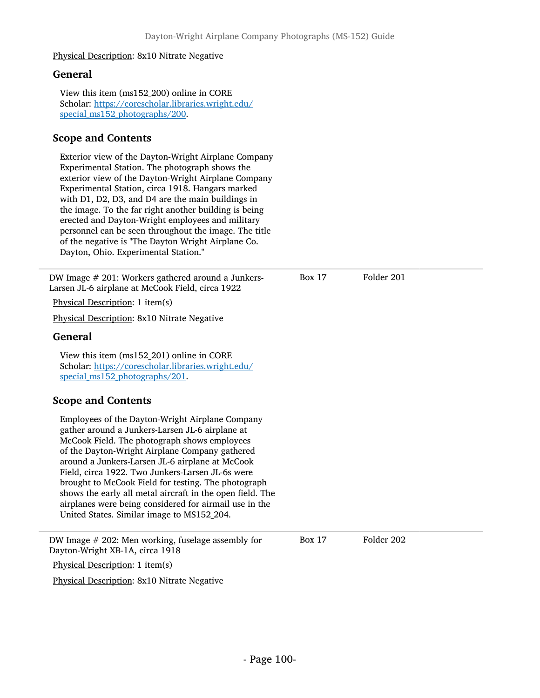#### Physical Description: 8x10 Nitrate Negative

## General

View this item (ms152\_200) online in CORE Scholar: [https://corescholar.libraries.wright.edu/](https://corescholar.libraries.wright.edu/special_ms152_photographs/200) special ms152 photographs/200.

# Scope and Contents

Exterior view of the Dayton-Wright Airplane Company Experimental Station. The photograph shows the exterior view of the Dayton-Wright Airplane Company Experimental Station, circa 1918. Hangars marked with D1, D2, D3, and D4 are the main buildings in the image. To the far right another building is being erected and Dayton-Wright employees and military personnel can be seen throughout the image. The title of the negative is "The Dayton Wright Airplane Co. Dayton, Ohio. Experimental Station."

DW Image # 201: Workers gathered around a Junkers-Larsen JL-6 airplane at McCook Field, circa 1922

Physical Description: 1 item(s)

Physical Description: 8x10 Nitrate Negative

### General

View this item (ms152\_201) online in CORE Scholar: [https://corescholar.libraries.wright.edu/](https://corescholar.libraries.wright.edu/special_ms152_photographs/201) special ms152 photographs/201.

# Scope and Contents

Employees of the Dayton-Wright Airplane Company gather around a Junkers-Larsen JL-6 airplane at McCook Field. The photograph shows employees of the Dayton-Wright Airplane Company gathered around a Junkers-Larsen JL-6 airplane at McCook Field, circa 1922. Two Junkers-Larsen JL-6s were brought to McCook Field for testing. The photograph shows the early all metal aircraft in the open field. The airplanes were being considered for airmail use in the United States. Similar image to MS152\_204.

DW Image # 202: Men working, fuselage assembly for Box 17 Folder 202 Dayton-Wright XB-1A, circa 1918

Physical Description: 1 item(s)

Physical Description: 8x10 Nitrate Negative

Box 17 Folder 201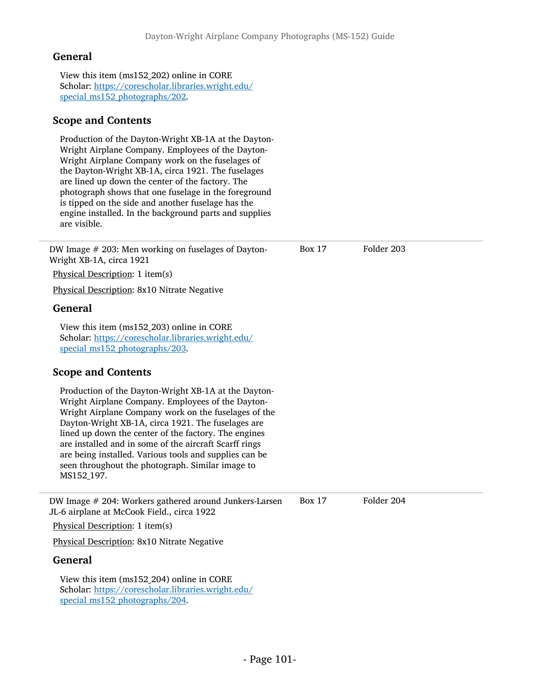View this item (ms152\_202) online in CORE Scholar: [https://corescholar.libraries.wright.edu/](https://corescholar.libraries.wright.edu/special_ms152_photographs/202) [special\\_ms152\\_photographs/202](https://corescholar.libraries.wright.edu/special_ms152_photographs/202).

## Scope and Contents

Production of the Dayton-Wright XB-1A at the Dayton-Wright Airplane Company. Employees of the Dayton-Wright Airplane Company work on the fuselages of the Dayton-Wright XB-1A, circa 1921. The fuselages are lined up down the center of the factory. The photograph shows that one fuselage in the foreground is tipped on the side and another fuselage has the engine installed. In the background parts and supplies are visible.

DW Image # 203: Men working on fuselages of Dayton-Wright XB-1A, circa 1921 Physical Description: 1 item(s) Box 17 Folder 203 Physical Description: 8x10 Nitrate Negative General View this item (ms152\_203) online in CORE Scholar: [https://corescholar.libraries.wright.edu/](https://corescholar.libraries.wright.edu/special_ms152_photographs/203) [special\\_ms152\\_photographs/203](https://corescholar.libraries.wright.edu/special_ms152_photographs/203). Scope and Contents Production of the Dayton-Wright XB-1A at the Dayton-Wright Airplane Company. Employees of the Dayton-Wright Airplane Company work on the fuselages of the Dayton-Wright XB-1A, circa 1921. The fuselages are lined up down the center of the factory. The engines are installed and in some of the aircraft Scarff rings are being installed. Various tools and supplies can be seen throughout the photograph. Similar image to MS152\_197. DW Image # 204: Workers gathered around Junkers-Larsen JL-6 airplane at McCook Field., circa 1922 Box 17 Folder 204 Physical Description: 1 item(s) Physical Description: 8x10 Nitrate Negative General View this item (ms152\_204) online in CORE Scholar: [https://corescholar.libraries.wright.edu/](https://corescholar.libraries.wright.edu/special_ms152_photographs/204) [special\\_ms152\\_photographs/204](https://corescholar.libraries.wright.edu/special_ms152_photographs/204).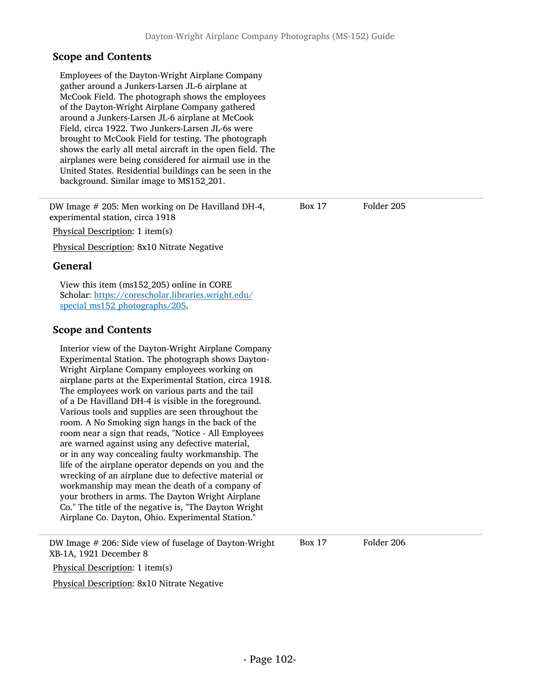Employees of the Dayton-Wright Airplane Company gather around a Junkers-Larsen JL-6 airplane at McCook Field. The photograph shows the employees of the Dayton-Wright Airplane Company gathered around a Junkers-Larsen JL-6 airplane at McCook Field, circa 1922. Two Junkers-Larsen JL-6s were brought to McCook Field for testing. The photograph shows the early all metal aircraft in the open field. The airplanes were being considered for airmail use in the United States. Residential buildings can be seen in the background. Similar image to MS152\_201.

DW Image # 205: Men working on De Havilland DH-4, experimental station, circa 1918 Physical Description: 1 item(s) Physical Description: 8x10 Nitrate Negative General View this item (ms152\_205) online in CORE Scholar: [https://corescholar.libraries.wright.edu/](https://corescholar.libraries.wright.edu/special_ms152_photographs/205) [special\\_ms152\\_photographs/205](https://corescholar.libraries.wright.edu/special_ms152_photographs/205). Scope and Contents Interior view of the Dayton-Wright Airplane Company Experimental Station. The photograph shows Dayton-Wright Airplane Company employees working on airplane parts at the Experimental Station, circa 1918. The employees work on various parts and the tail of a De Havilland DH-4 is visible in the foreground. Various tools and supplies are seen throughout the room. A No Smoking sign hangs in the back of the room near a sign that reads, "Notice - All Employees are warned against using any defective material, or in any way concealing faulty workmanship. The life of the airplane operator depends on you and the wrecking of an airplane due to defective material or workmanship may mean the death of a company of your brothers in arms. The Dayton Wright Airplane Co." The title of the negative is, "The Dayton Wright Airplane Co. Dayton, Ohio. Experimental Station." Box 17 Folder 205 DW Image # 206: Side view of fuselage of Dayton-Wright Box 17 Folder 206 XB-1A, 1921 December 8 Physical Description: 1 item(s)

Physical Description: 8x10 Nitrate Negative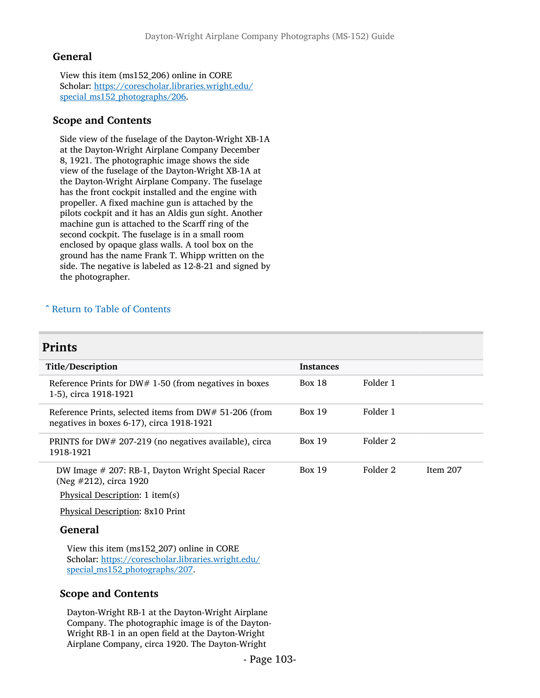View this item (ms152\_206) online in CORE Scholar: [https://corescholar.libraries.wright.edu/](https://corescholar.libraries.wright.edu/special_ms152_photographs/206) [special\\_ms152\\_photographs/206](https://corescholar.libraries.wright.edu/special_ms152_photographs/206).

## Scope and Contents

Side view of the fuselage of the Dayton-Wright XB-1A at the Dayton-Wright Airplane Company December 8, 1921. The photographic image shows the side view of the fuselage of the Dayton-Wright XB-1A at the Dayton-Wright Airplane Company. The fuselage has the front cockpit installed and the engine with propeller. A fixed machine gun is attached by the pilots cockpit and it has an Aldis gun sight. Another machine gun is attached to the Scarff ring of the second cockpit. The fuselage is in a small room enclosed by opaque glass walls. A tool box on the ground has the name Frank T. Whipp written on the side. The negative is labeled as 12-8-21 and signed by the photographer.

### ^ [Return to Table of Contents](#page-1-0)

# Prints

| Title/Description                                                                                   | Instances     |          |            |
|-----------------------------------------------------------------------------------------------------|---------------|----------|------------|
| Reference Prints for DW# 1-50 (from negatives in boxes<br>1-5), circa 1918-1921                     | <b>Box 18</b> | Folder 1 |            |
| Reference Prints, selected items from DW# 51-206 (from<br>negatives in boxes 6-17), circa 1918-1921 | <b>Box 19</b> | Folder 1 |            |
| PRINTS for DW# 207-219 (no negatives available), circa<br>1918-1921                                 | <b>Box 19</b> | Folder 2 |            |
| DW Image # 207: RB-1, Dayton Wright Special Racer<br>(Neg #212), circa 1920                         | <b>Box 19</b> | Folder 2 | Item $207$ |

Physical Description: 1 item(s)

Physical Description: 8x10 Print

### General

View this item (ms152\_207) online in CORE Scholar: [https://corescholar.libraries.wright.edu/](https://corescholar.libraries.wright.edu/special_ms152_photographs/207) special ms152 photographs/207.

### Scope and Contents

Dayton-Wright RB-1 at the Dayton-Wright Airplane Company. The photographic image is of the Dayton-Wright RB-1 in an open field at the Dayton-Wright Airplane Company, circa 1920. The Dayton-Wright